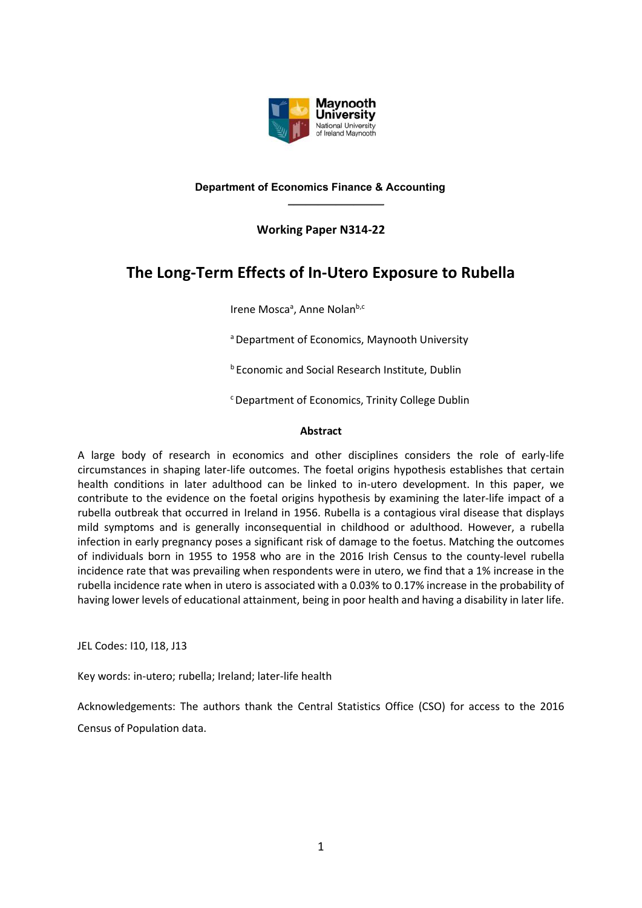

## **Department of Economics Finance & Accounting**

**\_\_\_\_\_\_\_\_\_\_\_\_\_\_\_\_**

**Working Paper N314-22**

# **The Long-Term Effects of In-Utero Exposure to Rubella**

Irene Mosca<sup>a</sup>, Anne Nolan<sup>b,c</sup>

a Department of Economics, Maynooth University

**b Economic and Social Research Institute, Dublin** 

<sup>c</sup> Department of Economics, Trinity College Dublin

## **Abstract**

A large body of research in economics and other disciplines considers the role of early-life circumstances in shaping later-life outcomes. The foetal origins hypothesis establishes that certain health conditions in later adulthood can be linked to in-utero development. In this paper, we contribute to the evidence on the foetal origins hypothesis by examining the later-life impact of a rubella outbreak that occurred in Ireland in 1956. Rubella is a contagious viral disease that displays mild symptoms and is generally inconsequential in childhood or adulthood. However, a rubella infection in early pregnancy poses a significant risk of damage to the foetus. Matching the outcomes of individuals born in 1955 to 1958 who are in the 2016 Irish Census to the county-level rubella incidence rate that was prevailing when respondents were in utero, we find that a 1% increase in the rubella incidence rate when in utero is associated with a 0.03% to 0.17% increase in the probability of having lower levels of educational attainment, being in poor health and having a disability in later life.

JEL Codes: I10, I18, J13

Key words: in-utero; rubella; Ireland; later-life health

Acknowledgements: The authors thank the Central Statistics Office (CSO) for access to the 2016 Census of Population data.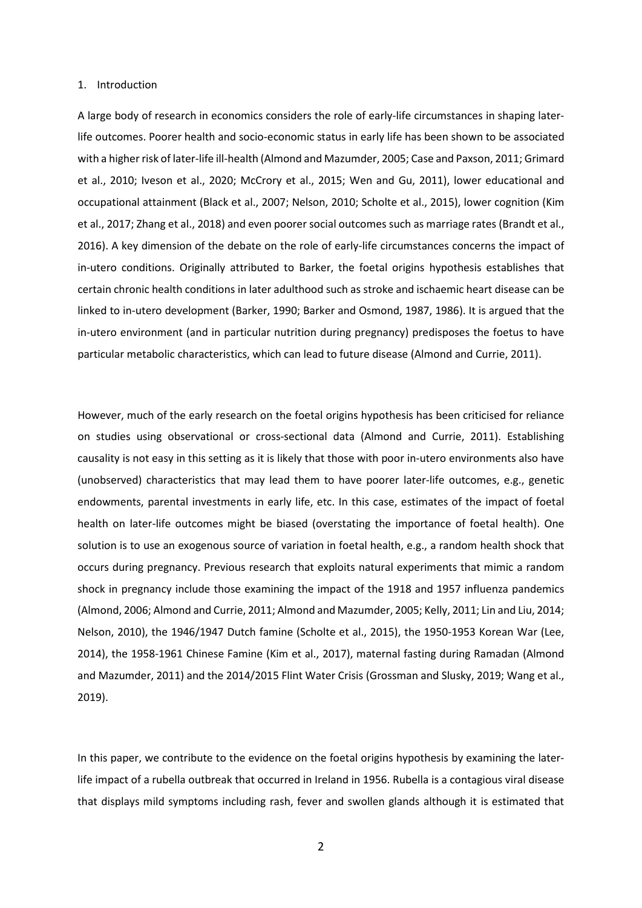#### 1. Introduction

A large body of research in economics considers the role of early-life circumstances in shaping laterlife outcomes. Poorer health and socio-economic status in early life has been shown to be associated with a higher risk of later-life ill-health (Almond and Mazumder, 2005; Case and Paxson, 2011; Grimard et al., 2010; Iveson et al., 2020; McCrory et al., 2015; Wen and Gu, 2011), lower educational and occupational attainment (Black et al., 2007; Nelson, 2010; Scholte et al., 2015), lower cognition (Kim et al., 2017; Zhang et al., 2018) and even poorer social outcomes such as marriage rates (Brandt et al., 2016). A key dimension of the debate on the role of early-life circumstances concerns the impact of in-utero conditions. Originally attributed to Barker, the foetal origins hypothesis establishes that certain chronic health conditions in later adulthood such as stroke and ischaemic heart disease can be linked to in-utero development (Barker, 1990; Barker and Osmond, 1987, 1986). It is argued that the in-utero environment (and in particular nutrition during pregnancy) predisposes the foetus to have particular metabolic characteristics, which can lead to future disease (Almond and Currie, 2011).

However, much of the early research on the foetal origins hypothesis has been criticised for reliance on studies using observational or cross-sectional data (Almond and Currie, 2011). Establishing causality is not easy in this setting as it is likely that those with poor in-utero environments also have (unobserved) characteristics that may lead them to have poorer later-life outcomes, e.g., genetic endowments, parental investments in early life, etc. In this case, estimates of the impact of foetal health on later-life outcomes might be biased (overstating the importance of foetal health). One solution is to use an exogenous source of variation in foetal health, e.g., a random health shock that occurs during pregnancy. Previous research that exploits natural experiments that mimic a random shock in pregnancy include those examining the impact of the 1918 and 1957 influenza pandemics (Almond, 2006; Almond and Currie, 2011; Almond and Mazumder, 2005; Kelly, 2011; Lin and Liu, 2014; Nelson, 2010), the 1946/1947 Dutch famine (Scholte et al., 2015), the 1950-1953 Korean War (Lee, 2014), the 1958-1961 Chinese Famine (Kim et al., 2017), maternal fasting during Ramadan (Almond and Mazumder, 2011) and the 2014/2015 Flint Water Crisis (Grossman and Slusky, 2019; Wang et al., 2019).

In this paper, we contribute to the evidence on the foetal origins hypothesis by examining the laterlife impact of a rubella outbreak that occurred in Ireland in 1956. Rubella is a contagious viral disease that displays mild symptoms including rash, fever and swollen glands although it is estimated that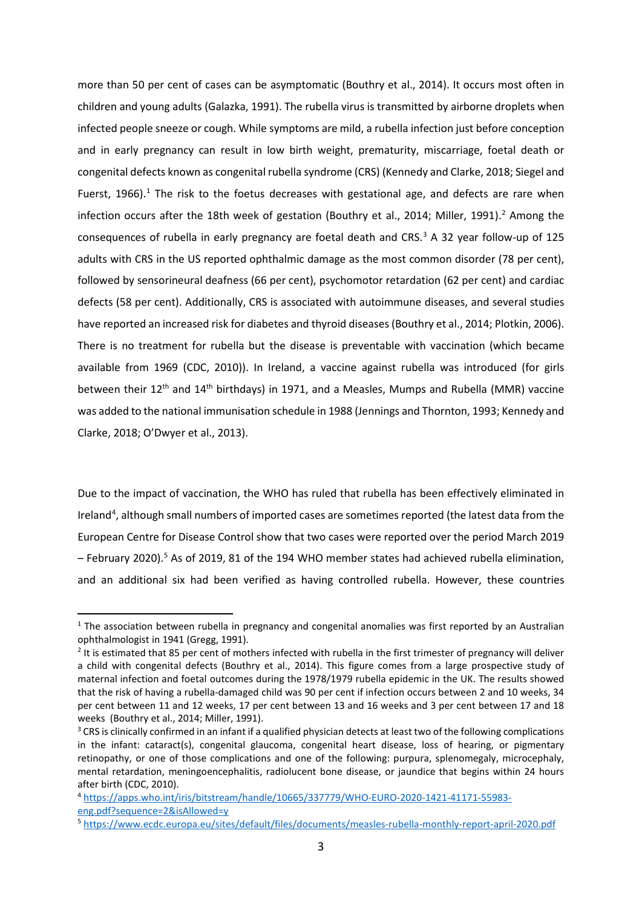more than 50 per cent of cases can be asymptomatic (Bouthry et al., 2014). It occurs most often in children and young adults (Galazka, 1991). The rubella virus is transmitted by airborne droplets when infected people sneeze or cough. While symptoms are mild, a rubella infection just before conception and in early pregnancy can result in low birth weight, prematurity, miscarriage, foetal death or congenital defects known as congenital rubella syndrome (CRS) (Kennedy and Clarke, 2018; Siegel and Fuerst, [1](#page-2-0)966).<sup>1</sup> The risk to the foetus decreases with gestational age, and defects are rare when infection occurs after the 18th week of gestation (Bouthry et al., 2014; Miller, 1991). [2](#page-2-1) Among the consequences of rubella in early pregnancy are foetal death and CRS. $3$  A 32 year follow-up of 125 adults with CRS in the US reported ophthalmic damage as the most common disorder (78 per cent), followed by sensorineural deafness (66 per cent), psychomotor retardation (62 per cent) and cardiac defects (58 per cent). Additionally, CRS is associated with autoimmune diseases, and several studies have reported an increased risk for diabetes and thyroid diseases (Bouthry et al., 2014; Plotkin, 2006). There is no treatment for rubella but the disease is preventable with vaccination (which became available from 1969 (CDC, 2010)). In Ireland, a vaccine against rubella was introduced (for girls between their 12<sup>th</sup> and 14<sup>th</sup> birthdays) in 1971, and a Measles, Mumps and Rubella (MMR) vaccine was added to the national immunisation schedule in 1988 (Jennings and Thornton, 1993; Kennedy and Clarke, 2018; O'Dwyer et al., 2013).

Due to the impact of vaccination, the WHO has ruled that rubella has been effectively eliminated in Ireland<sup>[4](#page-2-3)</sup>, although small numbers of imported cases are sometimes reported (the latest data from the European Centre for Disease Control show that two cases were reported over the period March 2019 – February 2020).[5](#page-2-4) As of 2019, 81 of the 194 WHO member states had achieved rubella elimination, and an additional six had been verified as having controlled rubella. However, these countries

<span id="page-2-0"></span> $1$  The association between rubella in pregnancy and congenital anomalies was first reported by an Australian ophthalmologist in 1941 (Gregg, 1991).

<span id="page-2-1"></span><sup>&</sup>lt;sup>2</sup> It is estimated that 85 per cent of mothers infected with rubella in the first trimester of pregnancy will deliver a child with congenital defects (Bouthry et al., 2014). This figure comes from a large prospective study of maternal infection and foetal outcomes during the 1978/1979 rubella epidemic in the UK. The results showed that the risk of having a rubella-damaged child was 90 per cent if infection occurs between 2 and 10 weeks, 34 per cent between 11 and 12 weeks, 17 per cent between 13 and 16 weeks and 3 per cent between 17 and 18 weeks (Bouthry et al., 2014; Miller, 1991).

<span id="page-2-2"></span><sup>&</sup>lt;sup>3</sup> CRS is clinically confirmed in an infant if a qualified physician detects at least two of the following complications in the infant: cataract(s), congenital glaucoma, congenital heart disease, loss of hearing, or pigmentary retinopathy, or one of those complications and one of the following: purpura, splenomegaly, microcephaly, mental retardation, meningoencephalitis, radiolucent bone disease, or jaundice that begins within 24 hours after birth (CDC, 2010).

<span id="page-2-3"></span><sup>4</sup> [https://apps.who.int/iris/bitstream/handle/10665/337779/WHO-EURO-2020-1421-41171-55983](https://apps.who.int/iris/bitstream/handle/10665/337779/WHO-EURO-2020-1421-41171-55983-eng.pdf?sequence=2&isAllowed=y) [eng.pdf?sequence=2&isAllowed=y](https://apps.who.int/iris/bitstream/handle/10665/337779/WHO-EURO-2020-1421-41171-55983-eng.pdf?sequence=2&isAllowed=y)

<span id="page-2-4"></span><sup>5</sup> <https://www.ecdc.europa.eu/sites/default/files/documents/measles-rubella-monthly-report-april-2020.pdf>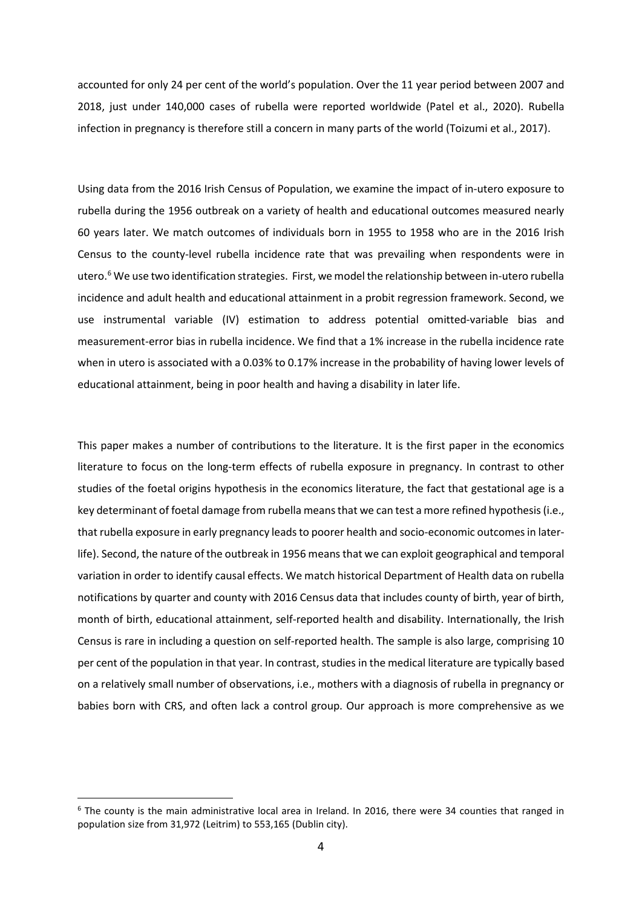accounted for only 24 per cent of the world's population. Over the 11 year period between 2007 and 2018, just under 140,000 cases of rubella were reported worldwide (Patel et al., 2020). Rubella infection in pregnancy is therefore still a concern in many parts of the world (Toizumi et al., 2017).

Using data from the 2016 Irish Census of Population, we examine the impact of in-utero exposure to rubella during the 1956 outbreak on a variety of health and educational outcomes measured nearly 60 years later. We match outcomes of individuals born in 1955 to 1958 who are in the 2016 Irish Census to the county-level rubella incidence rate that was prevailing when respondents were in utero. [6](#page-3-0) We use two identification strategies. First, we model the relationship between in-utero rubella incidence and adult health and educational attainment in a probit regression framework. Second, we use instrumental variable (IV) estimation to address potential omitted-variable bias and measurement-error bias in rubella incidence. We find that a 1% increase in the rubella incidence rate when in utero is associated with a 0.03% to 0.17% increase in the probability of having lower levels of educational attainment, being in poor health and having a disability in later life.

This paper makes a number of contributions to the literature. It is the first paper in the economics literature to focus on the long-term effects of rubella exposure in pregnancy. In contrast to other studies of the foetal origins hypothesis in the economics literature, the fact that gestational age is a key determinant of foetal damage from rubella means that we can test a more refined hypothesis (i.e., that rubella exposure in early pregnancy leads to poorer health and socio-economic outcomes in laterlife). Second, the nature of the outbreak in 1956 means that we can exploit geographical and temporal variation in order to identify causal effects. We match historical Department of Health data on rubella notifications by quarter and county with 2016 Census data that includes county of birth, year of birth, month of birth, educational attainment, self-reported health and disability. Internationally, the Irish Census is rare in including a question on self-reported health. The sample is also large, comprising 10 per cent of the population in that year. In contrast, studies in the medical literature are typically based on a relatively small number of observations, i.e., mothers with a diagnosis of rubella in pregnancy or babies born with CRS, and often lack a control group. Our approach is more comprehensive as we

<span id="page-3-0"></span><sup>6</sup> The county is the main administrative local area in Ireland. In 2016, there were 34 counties that ranged in population size from 31,972 (Leitrim) to 553,165 (Dublin city).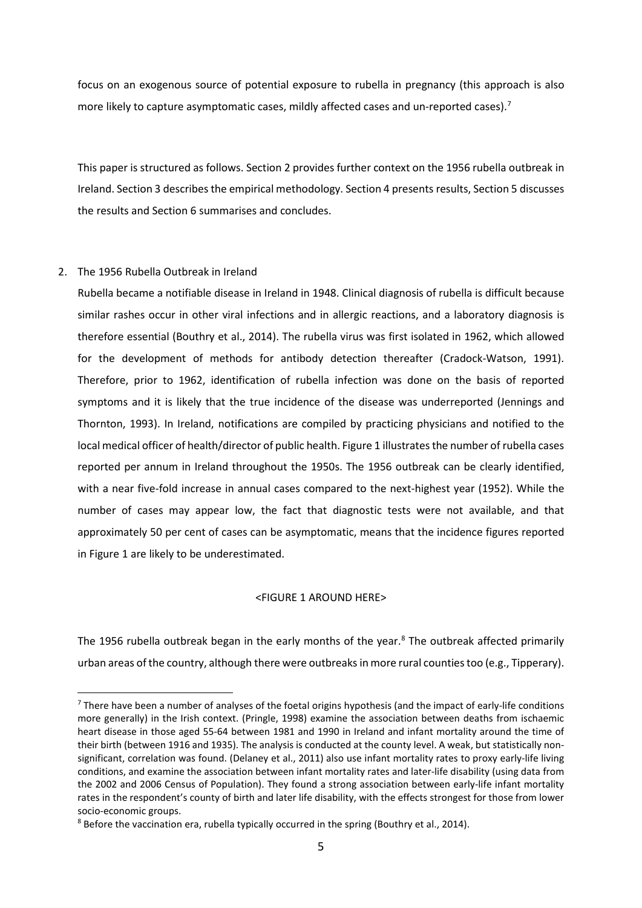focus on an exogenous source of potential exposure to rubella in pregnancy (this approach is also more likely to capture asymptomatic cases, mildly affected cases and un-reported cases).<sup>[7](#page-4-0)</sup>

This paper is structured as follows. Section 2 provides further context on the 1956 rubella outbreak in Ireland. Section 3 describes the empirical methodology. Section 4 presents results, Section 5 discusses the results and Section 6 summarises and concludes.

## 2. The 1956 Rubella Outbreak in Ireland

Rubella became a notifiable disease in Ireland in 1948. Clinical diagnosis of rubella is difficult because similar rashes occur in other viral infections and in allergic reactions, and a laboratory diagnosis is therefore essential (Bouthry et al., 2014). The rubella virus was first isolated in 1962, which allowed for the development of methods for antibody detection thereafter (Cradock-Watson, 1991). Therefore, prior to 1962, identification of rubella infection was done on the basis of reported symptoms and it is likely that the true incidence of the disease was underreported (Jennings and Thornton, 1993). In Ireland, notifications are compiled by practicing physicians and notified to the local medical officer of health/director of public health. Figure 1 illustrates the number of rubella cases reported per annum in Ireland throughout the 1950s. The 1956 outbreak can be clearly identified, with a near five-fold increase in annual cases compared to the next-highest year (1952). While the number of cases may appear low, the fact that diagnostic tests were not available, and that approximately 50 per cent of cases can be asymptomatic, means that the incidence figures reported in Figure 1 are likely to be underestimated.

## <FIGURE 1 AROUND HERE>

The 1956 rubella outbreak began in the early months of the year.<sup>[8](#page-4-1)</sup> The outbreak affected primarily urban areas of the country, although there were outbreaks in more rural counties too (e.g., Tipperary).

<span id="page-4-0"></span> $^7$  There have been a number of analyses of the foetal origins hypothesis (and the impact of early-life conditions more generally) in the Irish context. (Pringle, 1998) examine the association between deaths from ischaemic heart disease in those aged 55-64 between 1981 and 1990 in Ireland and infant mortality around the time of their birth (between 1916 and 1935). The analysis is conducted at the county level. A weak, but statistically nonsignificant, correlation was found. (Delaney et al., 2011) also use infant mortality rates to proxy early-life living conditions, and examine the association between infant mortality rates and later-life disability (using data from the 2002 and 2006 Census of Population). They found a strong association between early-life infant mortality rates in the respondent's county of birth and later life disability, with the effects strongest for those from lower socio-economic groups.<br><sup>8</sup> Before the vaccination era, rubella typically occurred in the spring (Bouthry et al., 2014).

<span id="page-4-1"></span>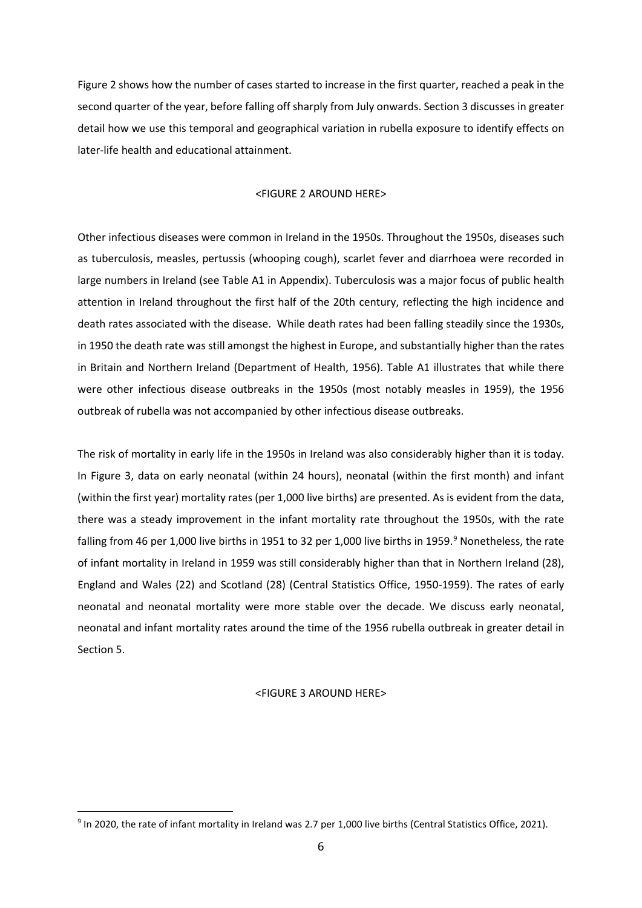Figure 2 shows how the number of cases started to increase in the first quarter, reached a peak in the second quarter of the year, before falling off sharply from July onwards. Section 3 discusses in greater detail how we use this temporal and geographical variation in rubella exposure to identify effects on later-life health and educational attainment.

### <FIGURE 2 AROUND HERE>

Other infectious diseases were common in Ireland in the 1950s. Throughout the 1950s, diseases such as tuberculosis, measles, pertussis (whooping cough), scarlet fever and diarrhoea were recorded in large numbers in Ireland (see Table A1 in Appendix). Tuberculosis was a major focus of public health attention in Ireland throughout the first half of the 20th century, reflecting the high incidence and death rates associated with the disease. While death rates had been falling steadily since the 1930s, in 1950 the death rate was still amongst the highest in Europe, and substantially higher than the rates in Britain and Northern Ireland (Department of Health, 1956). Table A1 illustrates that while there were other infectious disease outbreaks in the 1950s (most notably measles in 1959), the 1956 outbreak of rubella was not accompanied by other infectious disease outbreaks.

The risk of mortality in early life in the 1950s in Ireland was also considerably higher than it is today. In Figure 3, data on early neonatal (within 24 hours), neonatal (within the first month) and infant (within the first year) mortality rates (per 1,000 live births) are presented. As is evident from the data, there was a steady improvement in the infant mortality rate throughout the 1950s, with the rate falling from 46 per 1,000 live births in 1[9](#page-5-0)51 to 32 per 1,000 live births in 1959.<sup>9</sup> Nonetheless, the rate of infant mortality in Ireland in 1959 was still considerably higher than that in Northern Ireland (28), England and Wales (22) and Scotland (28) (Central Statistics Office, 1950-1959). The rates of early neonatal and neonatal mortality were more stable over the decade. We discuss early neonatal, neonatal and infant mortality rates around the time of the 1956 rubella outbreak in greater detail in Section 5.

## <FIGURE 3 AROUND HERE>

<span id="page-5-0"></span><sup>9</sup> In 2020, the rate of infant mortality in Ireland was 2.7 per 1,000 live births (Central Statistics Office, 2021).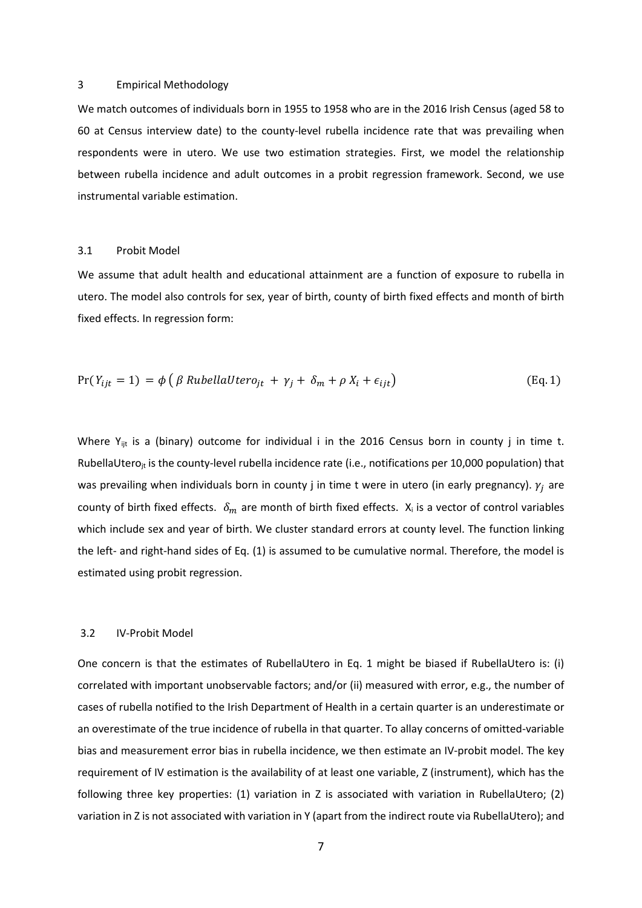#### 3 Empirical Methodology

We match outcomes of individuals born in 1955 to 1958 who are in the 2016 Irish Census (aged 58 to 60 at Census interview date) to the county-level rubella incidence rate that was prevailing when respondents were in utero. We use two estimation strategies. First, we model the relationship between rubella incidence and adult outcomes in a probit regression framework. Second, we use instrumental variable estimation.

#### 3.1 Probit Model

We assume that adult health and educational attainment are a function of exposure to rubella in utero. The model also controls for sex, year of birth, county of birth fixed effects and month of birth fixed effects. In regression form:

$$
Pr(Y_{ijt} = 1) = \phi \left( \beta \text{ Rubellal} \right) + \gamma_j + \delta_m + \rho X_i + \epsilon_{ijt} \tag{Eq. 1}
$$

Where Y<sub>ijt</sub> is a (binary) outcome for individual i in the 2016 Census born in county j in time t. RubellaUtero<sub>it</sub> is the county-level rubella incidence rate (i.e., notifications per 10,000 population) that was prevailing when individuals born in county j in time t were in utero (in early pregnancy).  $\gamma_i$  are county of birth fixed effects.  $\delta_m$  are month of birth fixed effects.  $X_i$  is a vector of control variables which include sex and year of birth. We cluster standard errors at county level. The function linking the left- and right-hand sides of Eq. (1) is assumed to be cumulative normal. Therefore, the model is estimated using probit regression.

## 3.2 IV-Probit Model

One concern is that the estimates of RubellaUtero in Eq. 1 might be biased if RubellaUtero is: (i) correlated with important unobservable factors; and/or (ii) measured with error, e.g., the number of cases of rubella notified to the Irish Department of Health in a certain quarter is an underestimate or an overestimate of the true incidence of rubella in that quarter. To allay concerns of omitted-variable bias and measurement error bias in rubella incidence, we then estimate an IV-probit model. The key requirement of IV estimation is the availability of at least one variable, Z (instrument), which has the following three key properties: (1) variation in Z is associated with variation in RubellaUtero; (2) variation in Z is not associated with variation in Y (apart from the indirect route via RubellaUtero); and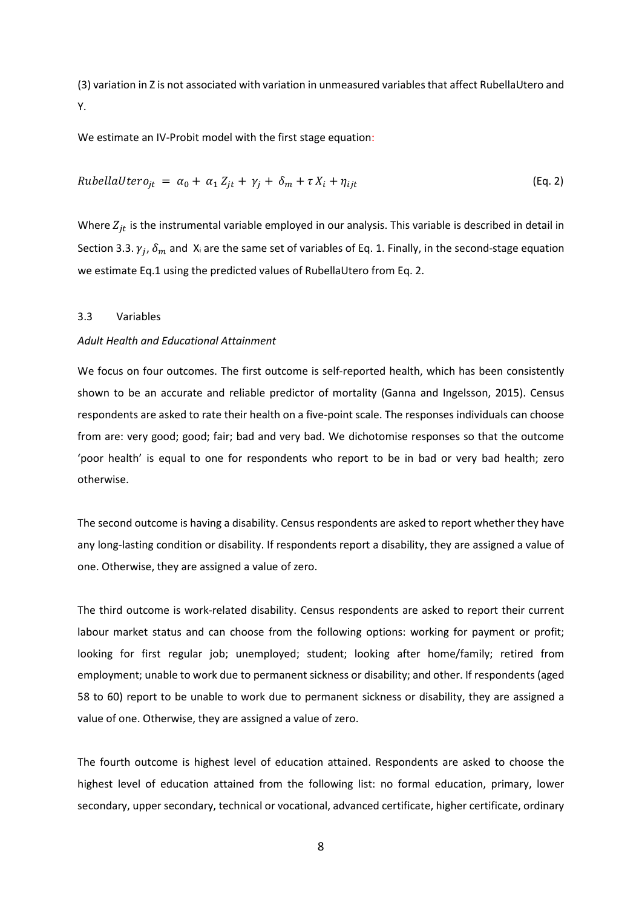(3) variation in Z is not associated with variation in unmeasured variables that affect RubellaUtero and Y.

We estimate an IV-Probit model with the first stage equation:

$$
Rule (Eq. 2)
$$
\n
$$
Rule (Eq. 2)
$$

Where  $Z_{jt}$  is the instrumental variable employed in our analysis. This variable is described in detail in Section 3.3.  $\gamma_i$ ,  $\delta_m$  and  $X_i$  are the same set of variables of Eq. 1. Finally, in the second-stage equation we estimate Eq.1 using the predicted values of RubellaUtero from Eq. 2.

### 3.3 Variables

### *Adult Health and Educational Attainment*

We focus on four outcomes. The first outcome is self-reported health, which has been consistently shown to be an accurate and reliable predictor of mortality (Ganna and Ingelsson, 2015). Census respondents are asked to rate their health on a five-point scale. The responses individuals can choose from are: very good; good; fair; bad and very bad. We dichotomise responses so that the outcome 'poor health' is equal to one for respondents who report to be in bad or very bad health; zero otherwise.

The second outcome is having a disability. Census respondents are asked to report whether they have any long-lasting condition or disability. If respondents report a disability, they are assigned a value of one. Otherwise, they are assigned a value of zero.

The third outcome is work-related disability. Census respondents are asked to report their current labour market status and can choose from the following options: working for payment or profit; looking for first regular job; unemployed; student; looking after home/family; retired from employment; unable to work due to permanent sickness or disability; and other. If respondents (aged 58 to 60) report to be unable to work due to permanent sickness or disability, they are assigned a value of one. Otherwise, they are assigned a value of zero.

The fourth outcome is highest level of education attained. Respondents are asked to choose the highest level of education attained from the following list: no formal education, primary, lower secondary, upper secondary, technical or vocational, advanced certificate, higher certificate, ordinary

8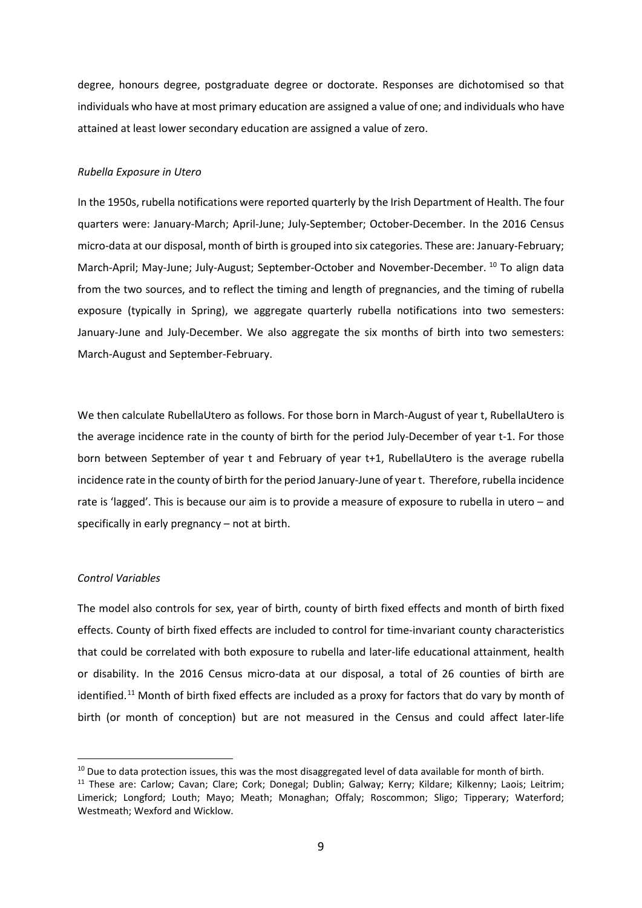degree, honours degree, postgraduate degree or doctorate. Responses are dichotomised so that individuals who have at most primary education are assigned a value of one; and individuals who have attained at least lower secondary education are assigned a value of zero.

## *Rubella Exposure in Utero*

In the 1950s, rubella notifications were reported quarterly by the Irish Department of Health. The four quarters were: January-March; April-June; July-September; October-December. In the 2016 Census micro-data at our disposal, month of birth is grouped into six categories. These are: January-February; March-April; May-June; July-August; September-October and November-December. <sup>[10](#page-8-0)</sup> To align data from the two sources, and to reflect the timing and length of pregnancies, and the timing of rubella exposure (typically in Spring), we aggregate quarterly rubella notifications into two semesters: January-June and July-December. We also aggregate the six months of birth into two semesters: March-August and September-February.

We then calculate RubellaUtero as follows. For those born in March-August of year t, RubellaUtero is the average incidence rate in the county of birth for the period July-December of year t-1. For those born between September of year t and February of year t+1, RubellaUtero is the average rubella incidence rate in the county of birth for the period January-June of year t. Therefore, rubella incidence rate is 'lagged'. This is because our aim is to provide a measure of exposure to rubella in utero – and specifically in early pregnancy – not at birth.

### *Control Variables*

The model also controls for sex, year of birth, county of birth fixed effects and month of birth fixed effects. County of birth fixed effects are included to control for time-invariant county characteristics that could be correlated with both exposure to rubella and later-life educational attainment, health or disability. In the 2016 Census micro-data at our disposal, a total of 26 counties of birth are identified.<sup>[11](#page-8-1)</sup> Month of birth fixed effects are included as a proxy for factors that do vary by month of birth (or month of conception) but are not measured in the Census and could affect later-life

<span id="page-8-0"></span><sup>&</sup>lt;sup>10</sup> Due to data protection issues, this was the most disaggregated level of data available for month of birth.<br><sup>11</sup> These are: Carlow; Cavan; Clare; Cork; Donegal; Dublin; Galway; Kerry; Kildare; Kilkenny; Laois; Leitrim

<span id="page-8-1"></span>Limerick; Longford; Louth; Mayo; Meath; Monaghan; Offaly; Roscommon; Sligo; Tipperary; Waterford; Westmeath; Wexford and Wicklow.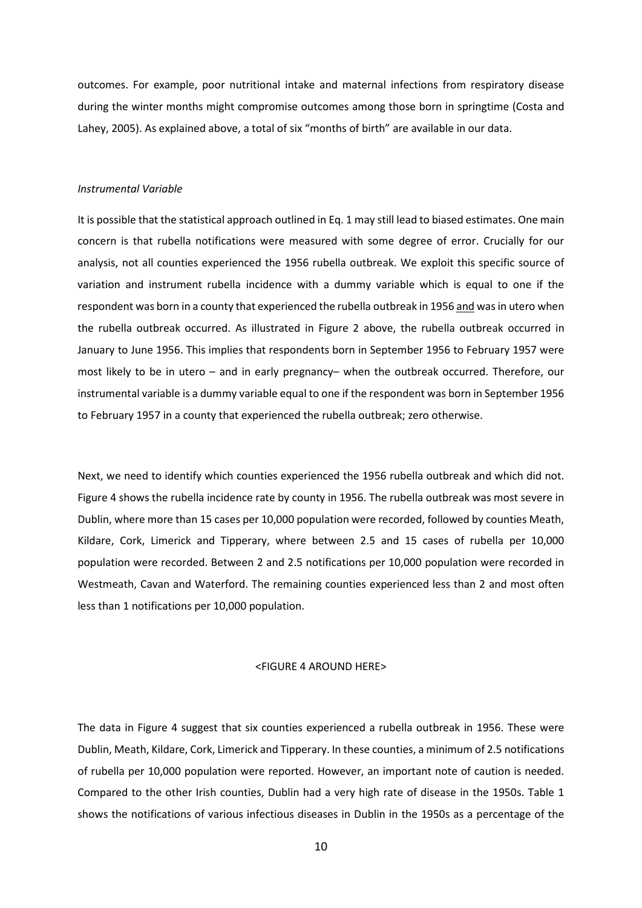outcomes. For example, poor nutritional intake and maternal infections from respiratory disease during the winter months might compromise outcomes among those born in springtime (Costa and Lahey, 2005). As explained above, a total of six "months of birth" are available in our data.

#### *Instrumental Variable*

It is possible that the statistical approach outlined in Eq. 1 may still lead to biased estimates. One main concern is that rubella notifications were measured with some degree of error. Crucially for our analysis, not all counties experienced the 1956 rubella outbreak. We exploit this specific source of variation and instrument rubella incidence with a dummy variable which is equal to one if the respondent was born in a county that experienced the rubella outbreak in 1956 and was in utero when the rubella outbreak occurred. As illustrated in Figure 2 above, the rubella outbreak occurred in January to June 1956. This implies that respondents born in September 1956 to February 1957 were most likely to be in utero – and in early pregnancy– when the outbreak occurred. Therefore, our instrumental variable is a dummy variable equal to one if the respondent was born in September 1956 to February 1957 in a county that experienced the rubella outbreak; zero otherwise.

Next, we need to identify which counties experienced the 1956 rubella outbreak and which did not. Figure 4 shows the rubella incidence rate by county in 1956. The rubella outbreak was most severe in Dublin, where more than 15 cases per 10,000 population were recorded, followed by counties Meath, Kildare, Cork, Limerick and Tipperary, where between 2.5 and 15 cases of rubella per 10,000 population were recorded. Between 2 and 2.5 notifications per 10,000 population were recorded in Westmeath, Cavan and Waterford. The remaining counties experienced less than 2 and most often less than 1 notifications per 10,000 population.

### <FIGURE 4 AROUND HERE>

The data in Figure 4 suggest that six counties experienced a rubella outbreak in 1956. These were Dublin, Meath, Kildare, Cork, Limerick and Tipperary. In these counties, a minimum of 2.5 notifications of rubella per 10,000 population were reported. However, an important note of caution is needed. Compared to the other Irish counties, Dublin had a very high rate of disease in the 1950s. Table 1 shows the notifications of various infectious diseases in Dublin in the 1950s as a percentage of the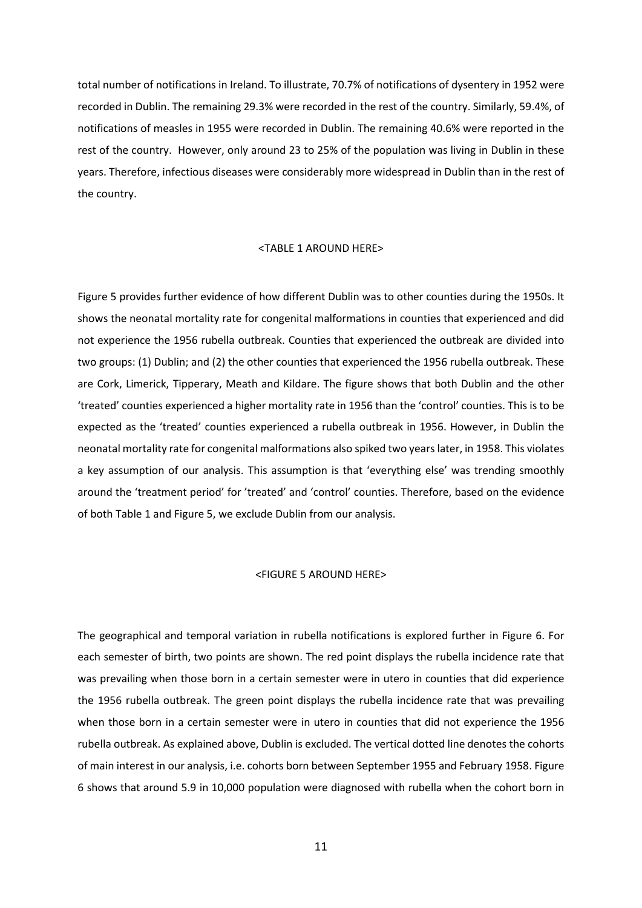total number of notifications in Ireland. To illustrate, 70.7% of notifications of dysentery in 1952 were recorded in Dublin. The remaining 29.3% were recorded in the rest of the country. Similarly, 59.4%, of notifications of measles in 1955 were recorded in Dublin. The remaining 40.6% were reported in the rest of the country. However, only around 23 to 25% of the population was living in Dublin in these years. Therefore, infectious diseases were considerably more widespread in Dublin than in the rest of the country.

### <TABLE 1 AROUND HERE>

Figure 5 provides further evidence of how different Dublin was to other counties during the 1950s. It shows the neonatal mortality rate for congenital malformations in counties that experienced and did not experience the 1956 rubella outbreak. Counties that experienced the outbreak are divided into two groups: (1) Dublin; and (2) the other counties that experienced the 1956 rubella outbreak. These are Cork, Limerick, Tipperary, Meath and Kildare. The figure shows that both Dublin and the other 'treated' counties experienced a higher mortality rate in 1956 than the 'control' counties. This is to be expected as the 'treated' counties experienced a rubella outbreak in 1956. However, in Dublin the neonatal mortality rate for congenital malformations also spiked two years later, in 1958. This violates a key assumption of our analysis. This assumption is that 'everything else' was trending smoothly around the 'treatment period' for 'treated' and 'control' counties. Therefore, based on the evidence of both Table 1 and Figure 5, we exclude Dublin from our analysis.

#### <FIGURE 5 AROUND HERE>

The geographical and temporal variation in rubella notifications is explored further in Figure 6. For each semester of birth, two points are shown. The red point displays the rubella incidence rate that was prevailing when those born in a certain semester were in utero in counties that did experience the 1956 rubella outbreak. The green point displays the rubella incidence rate that was prevailing when those born in a certain semester were in utero in counties that did not experience the 1956 rubella outbreak. As explained above, Dublin is excluded. The vertical dotted line denotes the cohorts of main interest in our analysis, i.e. cohorts born between September 1955 and February 1958. Figure 6 shows that around 5.9 in 10,000 population were diagnosed with rubella when the cohort born in

11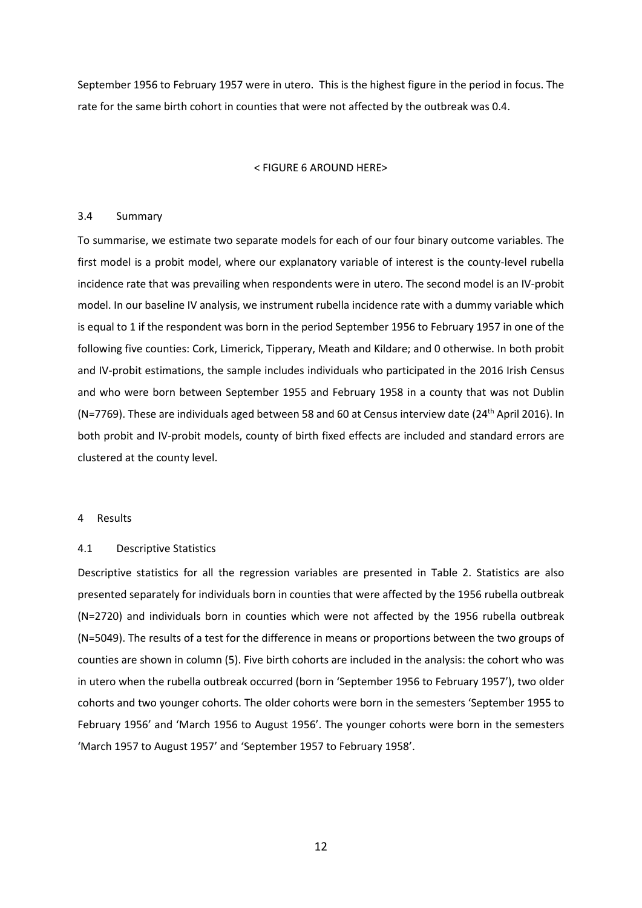September 1956 to February 1957 were in utero. This is the highest figure in the period in focus. The rate for the same birth cohort in counties that were not affected by the outbreak was 0.4.

#### < FIGURE 6 AROUND HERE>

### 3.4 Summary

To summarise, we estimate two separate models for each of our four binary outcome variables. The first model is a probit model, where our explanatory variable of interest is the county-level rubella incidence rate that was prevailing when respondents were in utero. The second model is an IV-probit model. In our baseline IV analysis, we instrument rubella incidence rate with a dummy variable which is equal to 1 if the respondent was born in the period September 1956 to February 1957 in one of the following five counties: Cork, Limerick, Tipperary, Meath and Kildare; and 0 otherwise. In both probit and IV-probit estimations, the sample includes individuals who participated in the 2016 Irish Census and who were born between September 1955 and February 1958 in a county that was not Dublin (N=7769). These are individuals aged between 58 and 60 at Census interview date (24<sup>th</sup> April 2016). In both probit and IV-probit models, county of birth fixed effects are included and standard errors are clustered at the county level.

## 4 Results

## 4.1 Descriptive Statistics

Descriptive statistics for all the regression variables are presented in Table 2. Statistics are also presented separately for individuals born in counties that were affected by the 1956 rubella outbreak (N=2720) and individuals born in counties which were not affected by the 1956 rubella outbreak (N=5049). The results of a test for the difference in means or proportions between the two groups of counties are shown in column (5). Five birth cohorts are included in the analysis: the cohort who was in utero when the rubella outbreak occurred (born in 'September 1956 to February 1957'), two older cohorts and two younger cohorts. The older cohorts were born in the semesters 'September 1955 to February 1956' and 'March 1956 to August 1956'. The younger cohorts were born in the semesters 'March 1957 to August 1957' and 'September 1957 to February 1958'.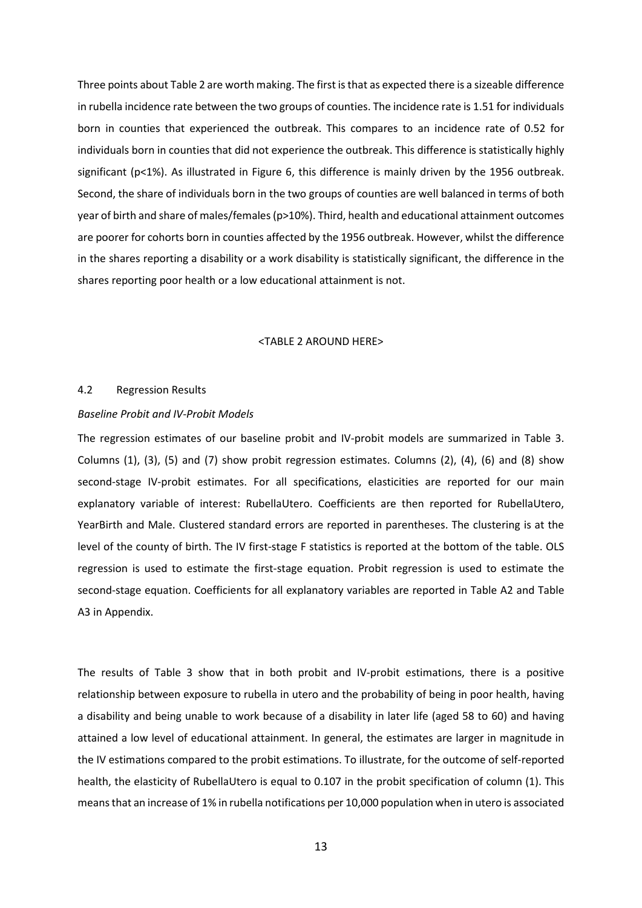Three points about Table 2 are worth making. The first is that as expected there is a sizeable difference in rubella incidence rate between the two groups of counties. The incidence rate is 1.51 for individuals born in counties that experienced the outbreak. This compares to an incidence rate of 0.52 for individuals born in counties that did not experience the outbreak. This difference is statistically highly significant (p<1%). As illustrated in Figure 6, this difference is mainly driven by the 1956 outbreak. Second, the share of individuals born in the two groups of counties are well balanced in terms of both year of birth and share of males/females (p>10%). Third, health and educational attainment outcomes are poorer for cohorts born in counties affected by the 1956 outbreak. However, whilst the difference in the shares reporting a disability or a work disability is statistically significant, the difference in the shares reporting poor health or a low educational attainment is not.

#### <TABLE 2 AROUND HERE>

#### 4.2 Regression Results

#### *Baseline Probit and IV-Probit Models*

The regression estimates of our baseline probit and IV-probit models are summarized in Table 3. Columns (1), (3), (5) and (7) show probit regression estimates. Columns (2), (4), (6) and (8) show second-stage IV-probit estimates. For all specifications, elasticities are reported for our main explanatory variable of interest: RubellaUtero. Coefficients are then reported for RubellaUtero, YearBirth and Male. Clustered standard errors are reported in parentheses. The clustering is at the level of the county of birth. The IV first-stage F statistics is reported at the bottom of the table. OLS regression is used to estimate the first-stage equation. Probit regression is used to estimate the second-stage equation. Coefficients for all explanatory variables are reported in Table A2 and Table A3 in Appendix.

The results of Table 3 show that in both probit and IV-probit estimations, there is a positive relationship between exposure to rubella in utero and the probability of being in poor health, having a disability and being unable to work because of a disability in later life (aged 58 to 60) and having attained a low level of educational attainment. In general, the estimates are larger in magnitude in the IV estimations compared to the probit estimations. To illustrate, for the outcome of self-reported health, the elasticity of RubellaUtero is equal to 0.107 in the probit specification of column (1). This means that an increase of 1% in rubella notifications per 10,000 population when in utero is associated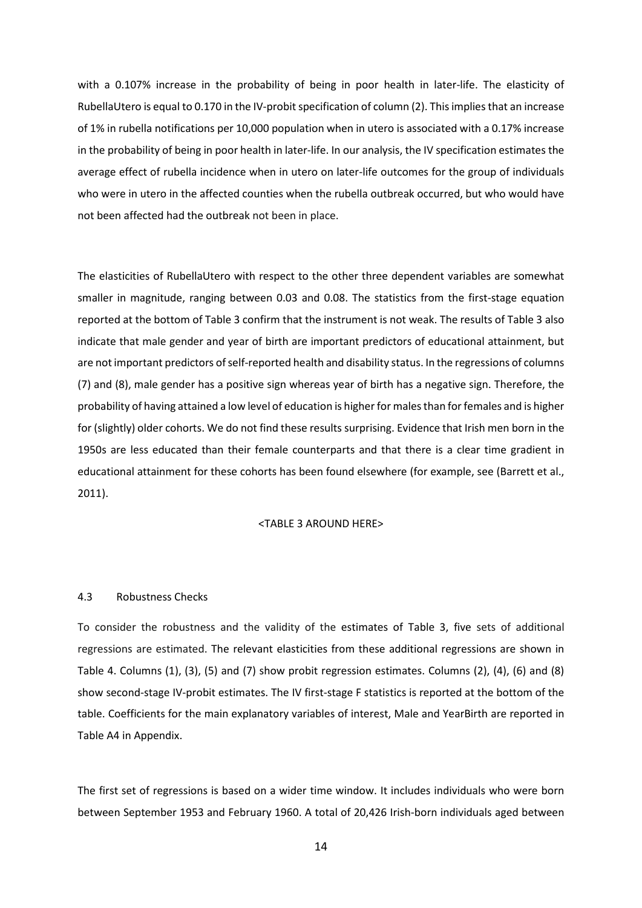with a 0.107% increase in the probability of being in poor health in later-life. The elasticity of RubellaUtero is equal to 0.170 in the IV-probit specification of column (2). This implies that an increase of 1% in rubella notifications per 10,000 population when in utero is associated with a 0.17% increase in the probability of being in poor health in later-life. In our analysis, the IV specification estimates the average effect of rubella incidence when in utero on later-life outcomes for the group of individuals who were in utero in the affected counties when the rubella outbreak occurred, but who would have not been affected had the outbreak not been in place.

The elasticities of RubellaUtero with respect to the other three dependent variables are somewhat smaller in magnitude, ranging between 0.03 and 0.08. The statistics from the first-stage equation reported at the bottom of Table 3 confirm that the instrument is not weak. The results of Table 3 also indicate that male gender and year of birth are important predictors of educational attainment, but are not important predictors of self-reported health and disability status. In the regressions of columns (7) and (8), male gender has a positive sign whereas year of birth has a negative sign. Therefore, the probability of having attained a low level of education is higher for males than for females and is higher for (slightly) older cohorts. We do not find these results surprising. Evidence that Irish men born in the 1950s are less educated than their female counterparts and that there is a clear time gradient in educational attainment for these cohorts has been found elsewhere (for example, see (Barrett et al., 2011).

## <TABLE 3 AROUND HERE>

#### 4.3 Robustness Checks

To consider the robustness and the validity of the estimates of Table 3, five sets of additional regressions are estimated. The relevant elasticities from these additional regressions are shown in Table 4. Columns (1), (3), (5) and (7) show probit regression estimates. Columns (2), (4), (6) and (8) show second-stage IV-probit estimates. The IV first-stage F statistics is reported at the bottom of the table. Coefficients for the main explanatory variables of interest, Male and YearBirth are reported in Table A4 in Appendix.

The first set of regressions is based on a wider time window. It includes individuals who were born between September 1953 and February 1960. A total of 20,426 Irish-born individuals aged between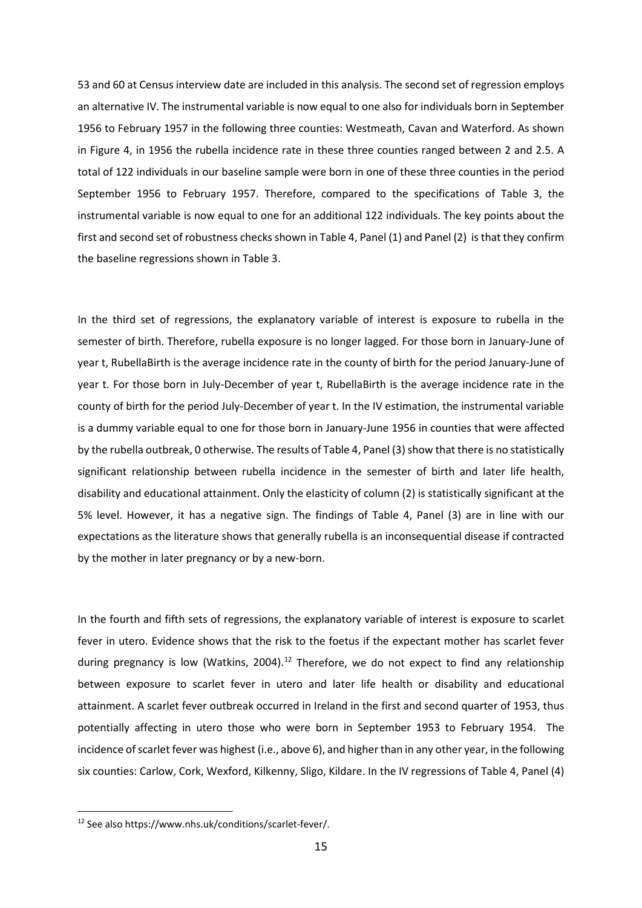53 and 60 at Census interview date are included in this analysis. The second set of regression employs an alternative IV. The instrumental variable is now equal to one also for individuals born in September 1956 to February 1957 in the following three counties: Westmeath, Cavan and Waterford. As shown in Figure 4, in 1956 the rubella incidence rate in these three counties ranged between 2 and 2.5. A total of 122 individuals in our baseline sample were born in one of these three counties in the period September 1956 to February 1957. Therefore, compared to the specifications of Table 3, the instrumental variable is now equal to one for an additional 122 individuals. The key points about the first and second set of robustness checks shown in Table 4, Panel (1) and Panel (2) is that they confirm the baseline regressions shown in Table 3.

In the third set of regressions, the explanatory variable of interest is exposure to rubella in the semester of birth. Therefore, rubella exposure is no longer lagged. For those born in January-June of year t, RubellaBirth is the average incidence rate in the county of birth for the period January-June of year t. For those born in July-December of year t, RubellaBirth is the average incidence rate in the county of birth for the period July-December of year t. In the IV estimation, the instrumental variable is a dummy variable equal to one for those born in January-June 1956 in counties that were affected by the rubella outbreak, 0 otherwise. The results of Table 4, Panel (3) show that there is no statistically significant relationship between rubella incidence in the semester of birth and later life health, disability and educational attainment. Only the elasticity of column (2) is statistically significant at the 5% level. However, it has a negative sign. The findings of Table 4, Panel (3) are in line with our expectations as the literature shows that generally rubella is an inconsequential disease if contracted by the mother in later pregnancy or by a new-born.

In the fourth and fifth sets of regressions, the explanatory variable of interest is exposure to scarlet fever in utero. Evidence shows that the risk to the foetus if the expectant mother has scarlet fever during pregnancy is low (Watkins, 2004).<sup>[12](#page-14-0)</sup> Therefore, we do not expect to find any relationship between exposure to scarlet fever in utero and later life health or disability and educational attainment. A scarlet fever outbreak occurred in Ireland in the first and second quarter of 1953, thus potentially affecting in utero those who were born in September 1953 to February 1954. The incidence of scarlet fever was highest (i.e., above 6), and higher than in any other year, in the following six counties: Carlow, Cork, Wexford, Kilkenny, Sligo, Kildare. In the IV regressions of Table 4, Panel (4)

<span id="page-14-0"></span><sup>12</sup> See also https://www.nhs.uk/conditions/scarlet-fever/.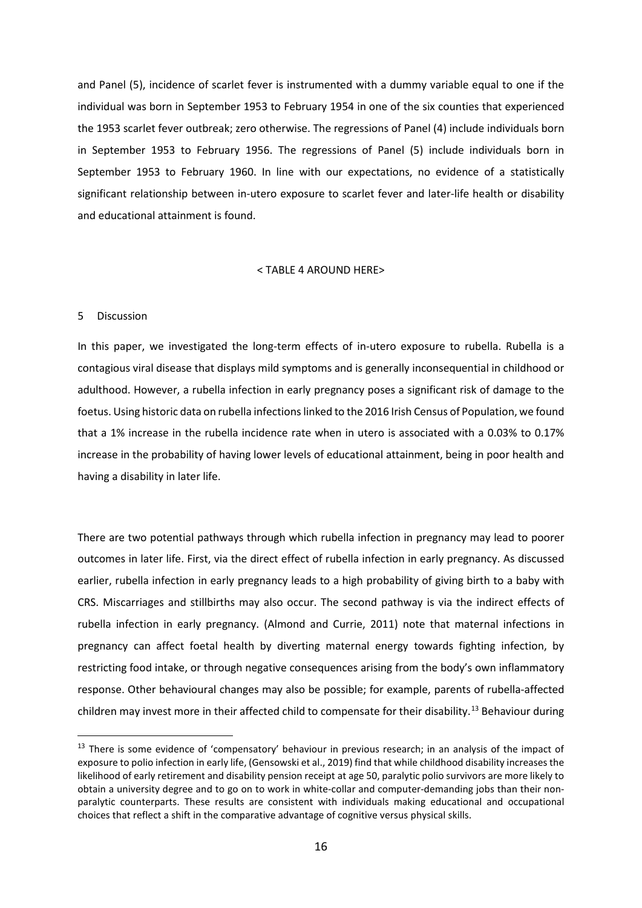and Panel (5), incidence of scarlet fever is instrumented with a dummy variable equal to one if the individual was born in September 1953 to February 1954 in one of the six counties that experienced the 1953 scarlet fever outbreak; zero otherwise. The regressions of Panel (4) include individuals born in September 1953 to February 1956. The regressions of Panel (5) include individuals born in September 1953 to February 1960. In line with our expectations, no evidence of a statistically significant relationship between in-utero exposure to scarlet fever and later-life health or disability and educational attainment is found.

### < TABLE 4 AROUND HERE>

### 5 Discussion

In this paper, we investigated the long-term effects of in-utero exposure to rubella. Rubella is a contagious viral disease that displays mild symptoms and is generally inconsequential in childhood or adulthood. However, a rubella infection in early pregnancy poses a significant risk of damage to the foetus. Using historic data on rubella infections linked to the 2016 Irish Census of Population, we found that a 1% increase in the rubella incidence rate when in utero is associated with a 0.03% to 0.17% increase in the probability of having lower levels of educational attainment, being in poor health and having a disability in later life.

There are two potential pathways through which rubella infection in pregnancy may lead to poorer outcomes in later life. First, via the direct effect of rubella infection in early pregnancy. As discussed earlier, rubella infection in early pregnancy leads to a high probability of giving birth to a baby with CRS. Miscarriages and stillbirths may also occur. The second pathway is via the indirect effects of rubella infection in early pregnancy. (Almond and Currie, 2011) note that maternal infections in pregnancy can affect foetal health by diverting maternal energy towards fighting infection, by restricting food intake, or through negative consequences arising from the body's own inflammatory response. Other behavioural changes may also be possible; for example, parents of rubella-affected children may invest more in their affected child to compensate for their disability.<sup>[13](#page-15-0)</sup> Behaviour during

<span id="page-15-0"></span><sup>&</sup>lt;sup>13</sup> There is some evidence of 'compensatory' behaviour in previous research; in an analysis of the impact of exposure to polio infection in early life, (Gensowski et al., 2019) find that while childhood disability increases the likelihood of early retirement and disability pension receipt at age 50, paralytic polio survivors are more likely to obtain a university degree and to go on to work in white-collar and computer-demanding jobs than their nonparalytic counterparts. These results are consistent with individuals making educational and occupational choices that reflect a shift in the comparative advantage of cognitive versus physical skills.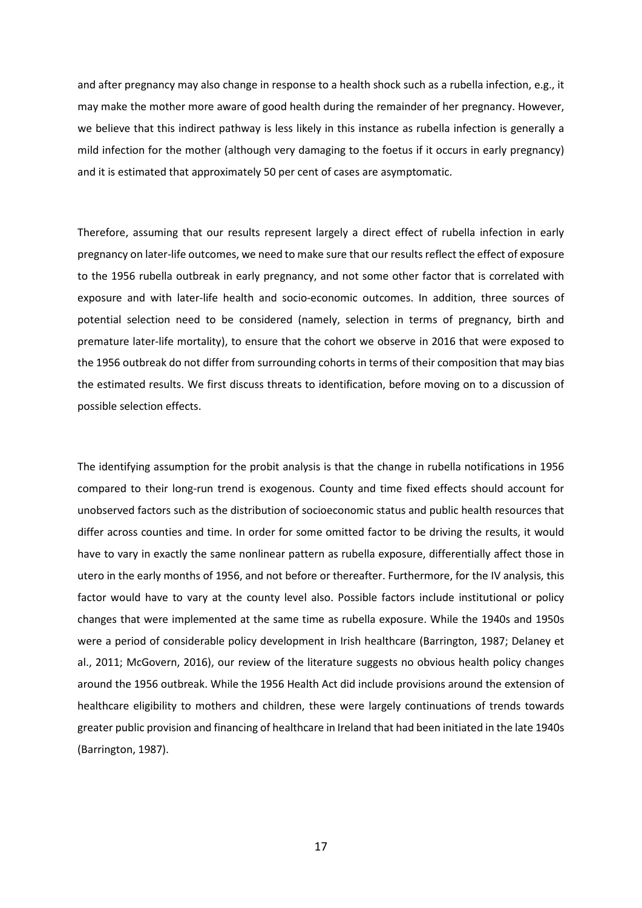and after pregnancy may also change in response to a health shock such as a rubella infection, e.g., it may make the mother more aware of good health during the remainder of her pregnancy. However, we believe that this indirect pathway is less likely in this instance as rubella infection is generally a mild infection for the mother (although very damaging to the foetus if it occurs in early pregnancy) and it is estimated that approximately 50 per cent of cases are asymptomatic.

Therefore, assuming that our results represent largely a direct effect of rubella infection in early pregnancy on later-life outcomes, we need to make sure that our results reflect the effect of exposure to the 1956 rubella outbreak in early pregnancy, and not some other factor that is correlated with exposure and with later-life health and socio-economic outcomes. In addition, three sources of potential selection need to be considered (namely, selection in terms of pregnancy, birth and premature later-life mortality), to ensure that the cohort we observe in 2016 that were exposed to the 1956 outbreak do not differ from surrounding cohorts in terms of their composition that may bias the estimated results. We first discuss threats to identification, before moving on to a discussion of possible selection effects.

The identifying assumption for the probit analysis is that the change in rubella notifications in 1956 compared to their long-run trend is exogenous. County and time fixed effects should account for unobserved factors such as the distribution of socioeconomic status and public health resources that differ across counties and time. In order for some omitted factor to be driving the results, it would have to vary in exactly the same nonlinear pattern as rubella exposure, differentially affect those in utero in the early months of 1956, and not before or thereafter. Furthermore, for the IV analysis, this factor would have to vary at the county level also. Possible factors include institutional or policy changes that were implemented at the same time as rubella exposure. While the 1940s and 1950s were a period of considerable policy development in Irish healthcare (Barrington, 1987; Delaney et al., 2011; McGovern, 2016), our review of the literature suggests no obvious health policy changes around the 1956 outbreak. While the 1956 Health Act did include provisions around the extension of healthcare eligibility to mothers and children, these were largely continuations of trends towards greater public provision and financing of healthcare in Ireland that had been initiated in the late 1940s (Barrington, 1987).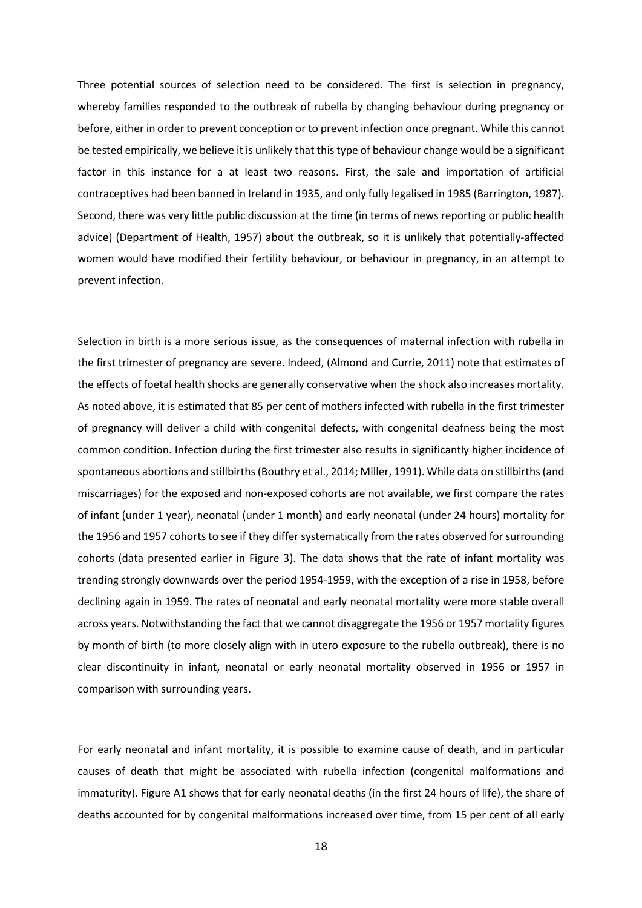Three potential sources of selection need to be considered. The first is selection in pregnancy, whereby families responded to the outbreak of rubella by changing behaviour during pregnancy or before, either in order to prevent conception or to prevent infection once pregnant. While this cannot be tested empirically, we believe it is unlikely that this type of behaviour change would be a significant factor in this instance for a at least two reasons. First, the sale and importation of artificial contraceptives had been banned in Ireland in 1935, and only fully legalised in 1985 (Barrington, 1987). Second, there was very little public discussion at the time (in terms of news reporting or public health advice) (Department of Health, 1957) about the outbreak, so it is unlikely that potentially-affected women would have modified their fertility behaviour, or behaviour in pregnancy, in an attempt to prevent infection.

Selection in birth is a more serious issue, as the consequences of maternal infection with rubella in the first trimester of pregnancy are severe. Indeed, (Almond and Currie, 2011) note that estimates of the effects of foetal health shocks are generally conservative when the shock also increases mortality. As noted above, it is estimated that 85 per cent of mothers infected with rubella in the first trimester of pregnancy will deliver a child with congenital defects, with congenital deafness being the most common condition. Infection during the first trimester also results in significantly higher incidence of spontaneous abortions and stillbirths (Bouthry et al., 2014; Miller, 1991). While data on stillbirths (and miscarriages) for the exposed and non-exposed cohorts are not available, we first compare the rates of infant (under 1 year), neonatal (under 1 month) and early neonatal (under 24 hours) mortality for the 1956 and 1957 cohorts to see if they differ systematically from the rates observed for surrounding cohorts (data presented earlier in Figure 3). The data shows that the rate of infant mortality was trending strongly downwards over the period 1954-1959, with the exception of a rise in 1958, before declining again in 1959. The rates of neonatal and early neonatal mortality were more stable overall across years. Notwithstanding the fact that we cannot disaggregate the 1956 or 1957 mortality figures by month of birth (to more closely align with in utero exposure to the rubella outbreak), there is no clear discontinuity in infant, neonatal or early neonatal mortality observed in 1956 or 1957 in comparison with surrounding years.

For early neonatal and infant mortality, it is possible to examine cause of death, and in particular causes of death that might be associated with rubella infection (congenital malformations and immaturity). Figure A1 shows that for early neonatal deaths (in the first 24 hours of life), the share of deaths accounted for by congenital malformations increased over time, from 15 per cent of all early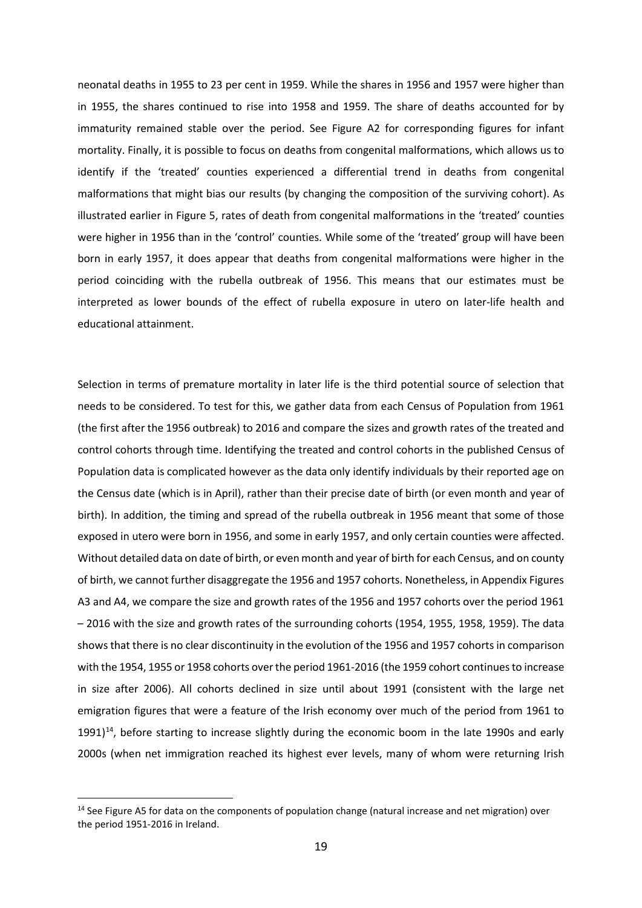neonatal deaths in 1955 to 23 per cent in 1959. While the shares in 1956 and 1957 were higher than in 1955, the shares continued to rise into 1958 and 1959. The share of deaths accounted for by immaturity remained stable over the period. See Figure A2 for corresponding figures for infant mortality. Finally, it is possible to focus on deaths from congenital malformations, which allows us to identify if the 'treated' counties experienced a differential trend in deaths from congenital malformations that might bias our results (by changing the composition of the surviving cohort). As illustrated earlier in Figure 5, rates of death from congenital malformations in the 'treated' counties were higher in 1956 than in the 'control' counties. While some of the 'treated' group will have been born in early 1957, it does appear that deaths from congenital malformations were higher in the period coinciding with the rubella outbreak of 1956. This means that our estimates must be interpreted as lower bounds of the effect of rubella exposure in utero on later-life health and educational attainment.

Selection in terms of premature mortality in later life is the third potential source of selection that needs to be considered. To test for this, we gather data from each Census of Population from 1961 (the first after the 1956 outbreak) to 2016 and compare the sizes and growth rates of the treated and control cohorts through time. Identifying the treated and control cohorts in the published Census of Population data is complicated however as the data only identify individuals by their reported age on the Census date (which is in April), rather than their precise date of birth (or even month and year of birth). In addition, the timing and spread of the rubella outbreak in 1956 meant that some of those exposed in utero were born in 1956, and some in early 1957, and only certain counties were affected. Without detailed data on date of birth, or even month and year of birth for each Census, and on county of birth, we cannot further disaggregate the 1956 and 1957 cohorts. Nonetheless, in Appendix Figures A3 and A4, we compare the size and growth rates of the 1956 and 1957 cohorts over the period 1961 – 2016 with the size and growth rates of the surrounding cohorts (1954, 1955, 1958, 1959). The data shows that there is no clear discontinuity in the evolution of the 1956 and 1957 cohorts in comparison with the 1954, 1955 or 1958 cohorts over the period 1961-2016 (the 1959 cohort continues to increase in size after 2006). All cohorts declined in size until about 1991 (consistent with the large net emigration figures that were a feature of the Irish economy over much of the period from 1961 to  $1991$ <sup>[14](#page-18-0)</sup>, before starting to increase slightly during the economic boom in the late 1990s and early 2000s (when net immigration reached its highest ever levels, many of whom were returning Irish

<span id="page-18-0"></span><sup>&</sup>lt;sup>14</sup> See Figure A5 for data on the components of population change (natural increase and net migration) over the period 1951-2016 in Ireland.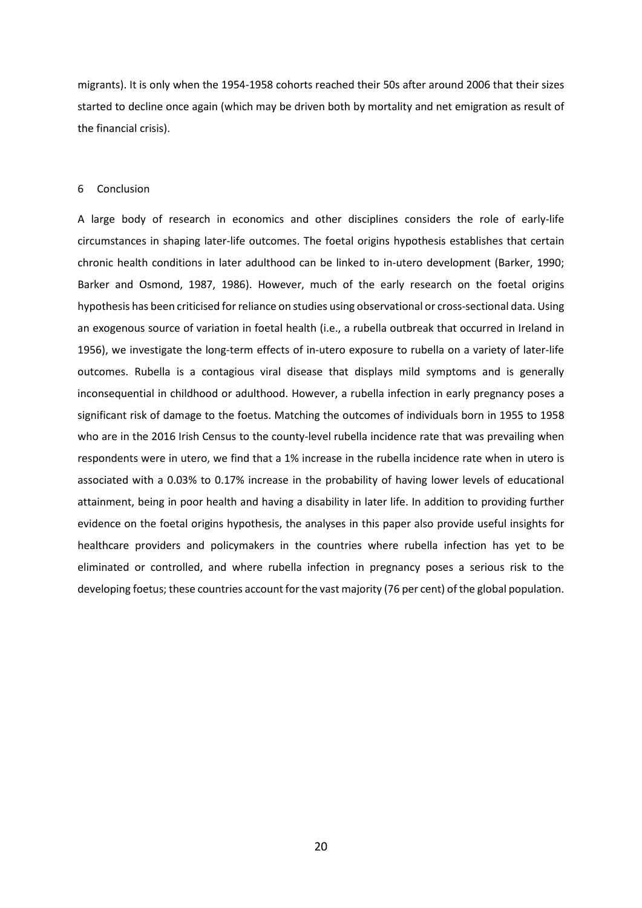migrants). It is only when the 1954-1958 cohorts reached their 50s after around 2006 that their sizes started to decline once again (which may be driven both by mortality and net emigration as result of the financial crisis).

#### 6 Conclusion

A large body of research in economics and other disciplines considers the role of early-life circumstances in shaping later-life outcomes. The foetal origins hypothesis establishes that certain chronic health conditions in later adulthood can be linked to in-utero development (Barker, 1990; Barker and Osmond, 1987, 1986). However, much of the early research on the foetal origins hypothesis has been criticised for reliance on studies using observational or cross-sectional data. Using an exogenous source of variation in foetal health (i.e., a rubella outbreak that occurred in Ireland in 1956), we investigate the long-term effects of in-utero exposure to rubella on a variety of later-life outcomes. Rubella is a contagious viral disease that displays mild symptoms and is generally inconsequential in childhood or adulthood. However, a rubella infection in early pregnancy poses a significant risk of damage to the foetus. Matching the outcomes of individuals born in 1955 to 1958 who are in the 2016 Irish Census to the county-level rubella incidence rate that was prevailing when respondents were in utero, we find that a 1% increase in the rubella incidence rate when in utero is associated with a 0.03% to 0.17% increase in the probability of having lower levels of educational attainment, being in poor health and having a disability in later life. In addition to providing further evidence on the foetal origins hypothesis, the analyses in this paper also provide useful insights for healthcare providers and policymakers in the countries where rubella infection has yet to be eliminated or controlled, and where rubella infection in pregnancy poses a serious risk to the developing foetus; these countries account for the vast majority (76 per cent) of the global population.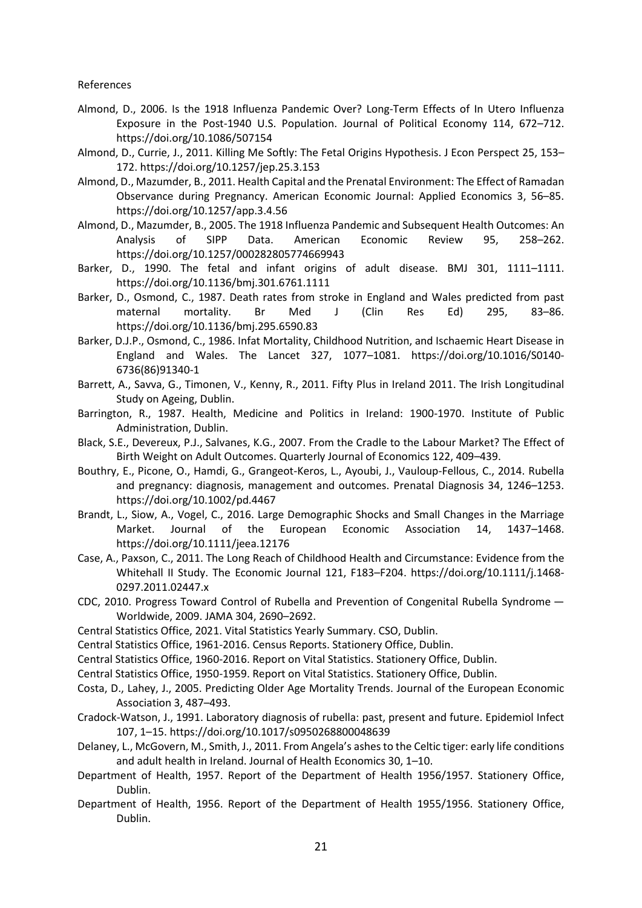References

- Almond, D., 2006. Is the 1918 Influenza Pandemic Over? Long-Term Effects of In Utero Influenza Exposure in the Post-1940 U.S. Population. Journal of Political Economy 114, 672–712. https://doi.org/10.1086/507154
- Almond, D., Currie, J., 2011. Killing Me Softly: The Fetal Origins Hypothesis. J Econ Perspect 25, 153– 172. https://doi.org/10.1257/jep.25.3.153
- Almond, D., Mazumder, B., 2011. Health Capital and the Prenatal Environment: The Effect of Ramadan Observance during Pregnancy. American Economic Journal: Applied Economics 3, 56–85. https://doi.org/10.1257/app.3.4.56
- Almond, D., Mazumder, B., 2005. The 1918 Influenza Pandemic and Subsequent Health Outcomes: An Analysis of SIPP Data. American Economic Review 95, 258–262. https://doi.org/10.1257/000282805774669943
- Barker, D., 1990. The fetal and infant origins of adult disease. BMJ 301, 1111–1111. https://doi.org/10.1136/bmj.301.6761.1111
- Barker, D., Osmond, C., 1987. Death rates from stroke in England and Wales predicted from past maternal mortality. Br Med J (Clin Res Ed) 295, 83–86. https://doi.org/10.1136/bmj.295.6590.83
- Barker, D.J.P., Osmond, C., 1986. Infat Mortality, Childhood Nutrition, and Ischaemic Heart Disease in England and Wales. The Lancet 327, 1077–1081. https://doi.org/10.1016/S0140- 6736(86)91340-1
- Barrett, A., Savva, G., Timonen, V., Kenny, R., 2011. Fifty Plus in Ireland 2011. The Irish Longitudinal Study on Ageing, Dublin.
- Barrington, R., 1987. Health, Medicine and Politics in Ireland: 1900-1970. Institute of Public Administration, Dublin.
- Black, S.E., Devereux, P.J., Salvanes, K.G., 2007. From the Cradle to the Labour Market? The Effect of Birth Weight on Adult Outcomes. Quarterly Journal of Economics 122, 409–439.
- Bouthry, E., Picone, O., Hamdi, G., Grangeot-Keros, L., Ayoubi, J., Vauloup-Fellous, C., 2014. Rubella and pregnancy: diagnosis, management and outcomes. Prenatal Diagnosis 34, 1246–1253. https://doi.org/10.1002/pd.4467
- Brandt, L., Siow, A., Vogel, C., 2016. Large Demographic Shocks and Small Changes in the Marriage Market. Journal of the European Economic Association 14, 1437–1468. https://doi.org/10.1111/jeea.12176
- Case, A., Paxson, C., 2011. The Long Reach of Childhood Health and Circumstance: Evidence from the Whitehall II Study. The Economic Journal 121, F183–F204. https://doi.org/10.1111/j.1468- 0297.2011.02447.x
- CDC, 2010. Progress Toward Control of Rubella and Prevention of Congenital Rubella Syndrome Worldwide, 2009. JAMA 304, 2690–2692.
- Central Statistics Office, 2021. Vital Statistics Yearly Summary. CSO, Dublin.
- Central Statistics Office, 1961-2016. Census Reports. Stationery Office, Dublin.
- Central Statistics Office, 1960-2016. Report on Vital Statistics. Stationery Office, Dublin.
- Central Statistics Office, 1950-1959. Report on Vital Statistics. Stationery Office, Dublin.
- Costa, D., Lahey, J., 2005. Predicting Older Age Mortality Trends. Journal of the European Economic Association 3, 487–493.
- Cradock-Watson, J., 1991. Laboratory diagnosis of rubella: past, present and future. Epidemiol Infect 107, 1–15. https://doi.org/10.1017/s0950268800048639
- Delaney, L., McGovern, M., Smith, J., 2011. From Angela's ashes to the Celtic tiger: early life conditions and adult health in Ireland. Journal of Health Economics 30, 1–10.
- Department of Health, 1957. Report of the Department of Health 1956/1957. Stationery Office, Dublin.
- Department of Health, 1956. Report of the Department of Health 1955/1956. Stationery Office, Dublin.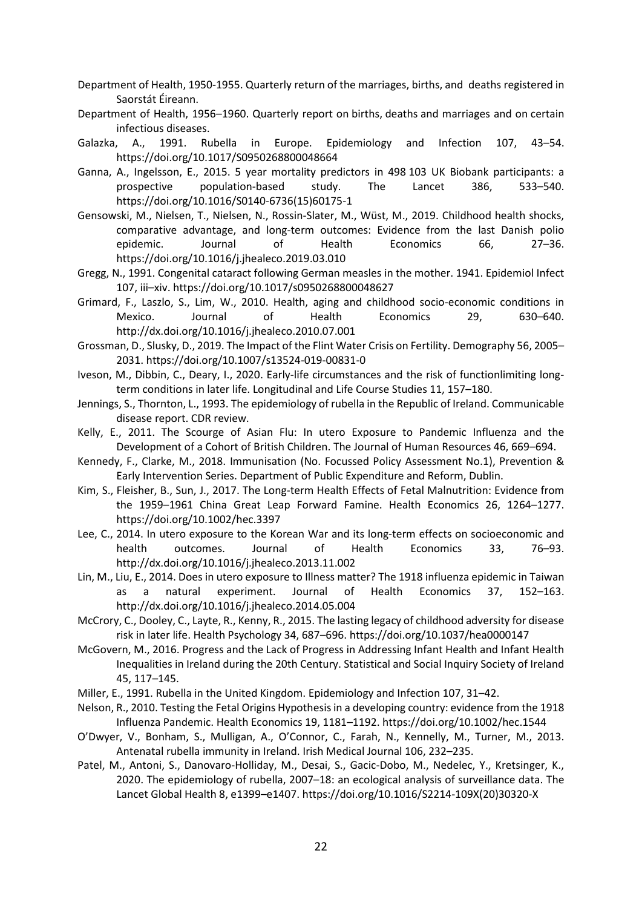- Department of Health, 1950-1955. Quarterly return of the marriages, births, and deaths registered in Saorstát Éireann.
- Department of Health, 1956–1960. Quarterly report on births, deaths and marriages and on certain infectious diseases.
- Galazka, A., 1991. Rubella in Europe. Epidemiology and Infection 107, 43–54. https://doi.org/10.1017/S0950268800048664
- Ganna, A., Ingelsson, E., 2015. 5 year mortality predictors in 498 103 UK Biobank participants: a prospective population-based study. The Lancet 386, 533–540. https://doi.org/10.1016/S0140-6736(15)60175-1
- Gensowski, M., Nielsen, T., Nielsen, N., Rossin-Slater, M., Wüst, M., 2019. Childhood health shocks, comparative advantage, and long-term outcomes: Evidence from the last Danish polio epidemic. Journal of Health Economics 66, 27–36. https://doi.org/10.1016/j.jhealeco.2019.03.010
- Gregg, N., 1991. Congenital cataract following German measles in the mother. 1941. Epidemiol Infect 107, iii–xiv. https://doi.org/10.1017/s0950268800048627
- Grimard, F., Laszlo, S., Lim, W., 2010. Health, aging and childhood socio-economic conditions in Mexico. Journal of Health Economics 29, 630–640. http://dx.doi.org/10.1016/j.jhealeco.2010.07.001
- Grossman, D., Slusky, D., 2019. The Impact of the Flint Water Crisis on Fertility. Demography 56, 2005– 2031. https://doi.org/10.1007/s13524-019-00831-0
- Iveson, M., Dibbin, C., Deary, I., 2020. Early-life circumstances and the risk of functionlimiting longterm conditions in later life. Longitudinal and Life Course Studies 11, 157–180.
- Jennings, S., Thornton, L., 1993. The epidemiology of rubella in the Republic of Ireland. Communicable disease report. CDR review.
- Kelly, E., 2011. The Scourge of Asian Flu: In utero Exposure to Pandemic Influenza and the Development of a Cohort of British Children. The Journal of Human Resources 46, 669–694.
- Kennedy, F., Clarke, M., 2018. Immunisation (No. Focussed Policy Assessment No.1), Prevention & Early Intervention Series. Department of Public Expenditure and Reform, Dublin.
- Kim, S., Fleisher, B., Sun, J., 2017. The Long-term Health Effects of Fetal Malnutrition: Evidence from the 1959–1961 China Great Leap Forward Famine. Health Economics 26, 1264–1277. https://doi.org/10.1002/hec.3397
- Lee, C., 2014. In utero exposure to the Korean War and its long-term effects on socioeconomic and health outcomes. Journal of Health Economics 33, 76–93. http://dx.doi.org/10.1016/j.jhealeco.2013.11.002
- Lin, M., Liu, E., 2014. Does in utero exposure to Illness matter? The 1918 influenza epidemic in Taiwan as a natural experiment. Journal of Health Economics 37, 152–163. http://dx.doi.org/10.1016/j.jhealeco.2014.05.004
- McCrory, C., Dooley, C., Layte, R., Kenny, R., 2015. The lasting legacy of childhood adversity for disease risk in later life. Health Psychology 34, 687–696. https://doi.org/10.1037/hea0000147
- McGovern, M., 2016. Progress and the Lack of Progress in Addressing Infant Health and Infant Health Inequalities in Ireland during the 20th Century. Statistical and Social Inquiry Society of Ireland 45, 117–145.
- Miller, E., 1991. Rubella in the United Kingdom. Epidemiology and Infection 107, 31–42.
- Nelson, R., 2010. Testing the Fetal Origins Hypothesis in a developing country: evidence from the 1918 Influenza Pandemic. Health Economics 19, 1181–1192. https://doi.org/10.1002/hec.1544
- O'Dwyer, V., Bonham, S., Mulligan, A., O'Connor, C., Farah, N., Kennelly, M., Turner, M., 2013. Antenatal rubella immunity in Ireland. Irish Medical Journal 106, 232–235.
- Patel, M., Antoni, S., Danovaro-Holliday, M., Desai, S., Gacic-Dobo, M., Nedelec, Y., Kretsinger, K., 2020. The epidemiology of rubella, 2007–18: an ecological analysis of surveillance data. The Lancet Global Health 8, e1399–e1407. https://doi.org/10.1016/S2214-109X(20)30320-X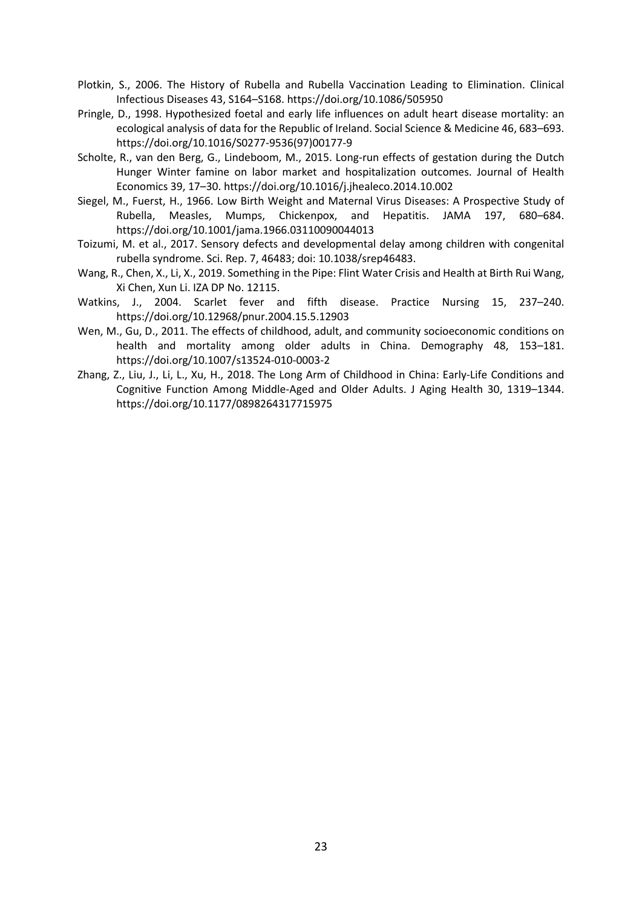- Plotkin, S., 2006. The History of Rubella and Rubella Vaccination Leading to Elimination. Clinical Infectious Diseases 43, S164–S168. https://doi.org/10.1086/505950
- Pringle, D., 1998. Hypothesized foetal and early life influences on adult heart disease mortality: an ecological analysis of data for the Republic of Ireland. Social Science & Medicine 46, 683–693. https://doi.org/10.1016/S0277-9536(97)00177-9
- Scholte, R., van den Berg, G., Lindeboom, M., 2015. Long-run effects of gestation during the Dutch Hunger Winter famine on labor market and hospitalization outcomes. Journal of Health Economics 39, 17–30. https://doi.org/10.1016/j.jhealeco.2014.10.002
- Siegel, M., Fuerst, H., 1966. Low Birth Weight and Maternal Virus Diseases: A Prospective Study of Rubella, Measles, Mumps, Chickenpox, and Hepatitis. JAMA 197, 680–684. https://doi.org/10.1001/jama.1966.03110090044013
- Toizumi, M. et al., 2017. Sensory defects and developmental delay among children with congenital rubella syndrome. Sci. Rep. 7, 46483; doi: 10.1038/srep46483.
- Wang, R., Chen, X., Li, X., 2019. Something in the Pipe: Flint Water Crisis and Health at Birth Rui Wang, Xi Chen, Xun Li. IZA DP No. 12115.
- Watkins, J., 2004. Scarlet fever and fifth disease. Practice Nursing 15, 237–240. https://doi.org/10.12968/pnur.2004.15.5.12903
- Wen, M., Gu, D., 2011. The effects of childhood, adult, and community socioeconomic conditions on health and mortality among older adults in China. Demography 48, 153–181. https://doi.org/10.1007/s13524-010-0003-2
- Zhang, Z., Liu, J., Li, L., Xu, H., 2018. The Long Arm of Childhood in China: Early-Life Conditions and Cognitive Function Among Middle-Aged and Older Adults. J Aging Health 30, 1319–1344. https://doi.org/10.1177/0898264317715975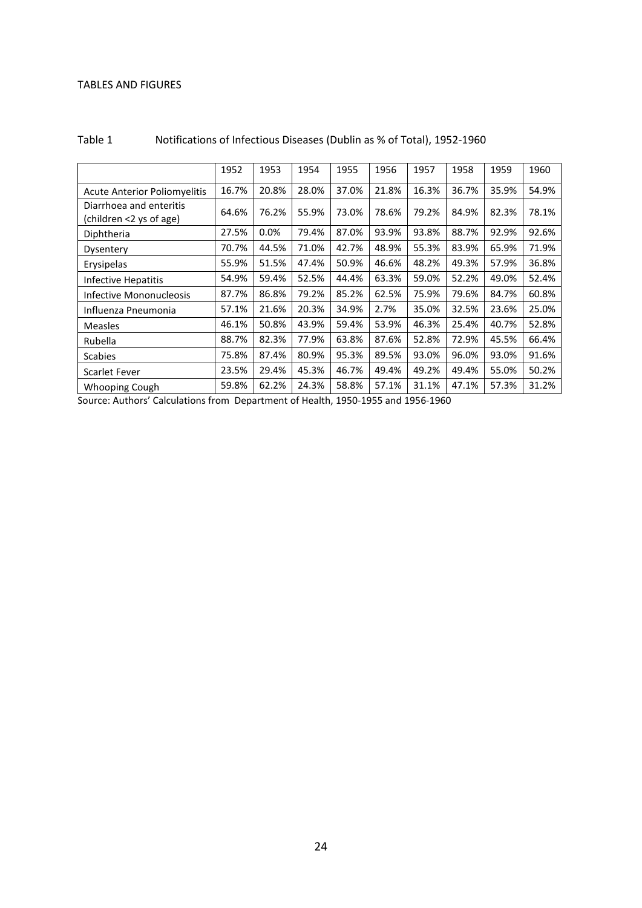## TABLES AND FIGURES

|                                                    | 1952  | 1953  | 1954  | 1955  | 1956  | 1957  | 1958  | 1959  | 1960  |
|----------------------------------------------------|-------|-------|-------|-------|-------|-------|-------|-------|-------|
| <b>Acute Anterior Poliomyelitis</b>                | 16.7% | 20.8% | 28.0% | 37.0% | 21.8% | 16.3% | 36.7% | 35.9% | 54.9% |
| Diarrhoea and enteritis<br>(children <2 ys of age) | 64.6% | 76.2% | 55.9% | 73.0% | 78.6% | 79.2% | 84.9% | 82.3% | 78.1% |
| Diphtheria                                         | 27.5% | 0.0%  | 79.4% | 87.0% | 93.9% | 93.8% | 88.7% | 92.9% | 92.6% |
| Dysentery                                          | 70.7% | 44.5% | 71.0% | 42.7% | 48.9% | 55.3% | 83.9% | 65.9% | 71.9% |
| Erysipelas                                         | 55.9% | 51.5% | 47.4% | 50.9% | 46.6% | 48.2% | 49.3% | 57.9% | 36.8% |
| Infective Hepatitis                                | 54.9% | 59.4% | 52.5% | 44.4% | 63.3% | 59.0% | 52.2% | 49.0% | 52.4% |
| Infective Mononucleosis                            | 87.7% | 86.8% | 79.2% | 85.2% | 62.5% | 75.9% | 79.6% | 84.7% | 60.8% |
| Influenza Pneumonia                                | 57.1% | 21.6% | 20.3% | 34.9% | 2.7%  | 35.0% | 32.5% | 23.6% | 25.0% |
| <b>Measles</b>                                     | 46.1% | 50.8% | 43.9% | 59.4% | 53.9% | 46.3% | 25.4% | 40.7% | 52.8% |
| Rubella                                            | 88.7% | 82.3% | 77.9% | 63.8% | 87.6% | 52.8% | 72.9% | 45.5% | 66.4% |
| <b>Scabies</b>                                     | 75.8% | 87.4% | 80.9% | 95.3% | 89.5% | 93.0% | 96.0% | 93.0% | 91.6% |
| Scarlet Fever                                      | 23.5% | 29.4% | 45.3% | 46.7% | 49.4% | 49.2% | 49.4% | 55.0% | 50.2% |
| Whooping Cough                                     | 59.8% | 62.2% | 24.3% | 58.8% | 57.1% | 31.1% | 47.1% | 57.3% | 31.2% |

## Table 1 Notifications of Infectious Diseases (Dublin as % of Total), 1952-1960

Source: Authors' Calculations from Department of Health, 1950-1955 and 1956-1960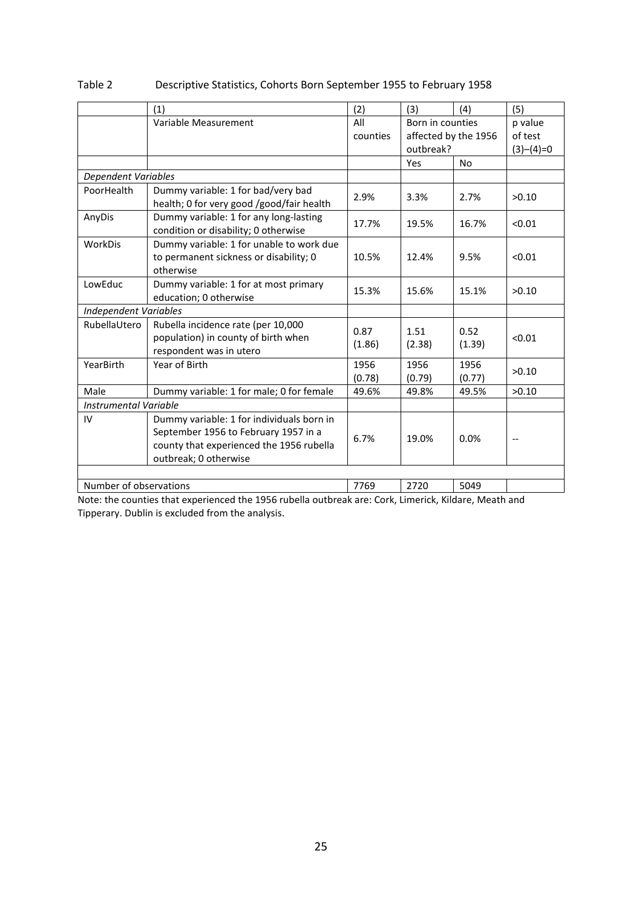|                              | (1)                                       | (2)      | (3)              | (4)                  | (5)         |  |
|------------------------------|-------------------------------------------|----------|------------------|----------------------|-------------|--|
|                              | Variable Measurement                      | All      | Born in counties |                      | p value     |  |
|                              |                                           | counties |                  | affected by the 1956 | of test     |  |
|                              |                                           |          | outbreak?        |                      | $(3)-(4)=0$ |  |
|                              |                                           |          | Yes              | <b>No</b>            |             |  |
| Dependent Variables          |                                           |          |                  |                      |             |  |
| PoorHealth                   | Dummy variable: 1 for bad/very bad        |          |                  |                      |             |  |
|                              | health; 0 for very good /good/fair health | 2.9%     | 3.3%             | 2.7%                 | >0.10       |  |
| AnyDis                       | Dummy variable: 1 for any long-lasting    |          |                  |                      |             |  |
|                              | condition or disability; 0 otherwise      | 17.7%    | 19.5%            | 16.7%                | < 0.01      |  |
| WorkDis                      | Dummy variable: 1 for unable to work due  |          |                  |                      |             |  |
|                              | to permanent sickness or disability; 0    | 10.5%    | 12.4%            | 9.5%                 | < 0.01      |  |
|                              | otherwise                                 |          |                  |                      |             |  |
| LowEduc                      | Dummy variable: 1 for at most primary     |          |                  |                      |             |  |
|                              | education; 0 otherwise                    | 15.3%    | 15.6%            | 15.1%                | >0.10       |  |
| <b>Independent Variables</b> |                                           |          |                  |                      |             |  |
| RubellaUtero                 | Rubella incidence rate (per 10,000        | 0.87     | 1.51             |                      |             |  |
|                              | population) in county of birth when       |          |                  | 0.52                 | < 0.01      |  |
|                              | respondent was in utero                   | (1.86)   | (2.38)           | (1.39)               |             |  |
| YearBirth                    | Year of Birth                             | 1956     | 1956             | 1956                 |             |  |
|                              |                                           | (0.78)   | (0.79)           | (0.77)               | >0.10       |  |
| Male                         | Dummy variable: 1 for male; 0 for female  | 49.6%    | 49.8%            | 49.5%                | >0.10       |  |
| Instrumental Variable        |                                           |          |                  |                      |             |  |
| IV                           | Dummy variable: 1 for individuals born in |          |                  |                      |             |  |
|                              | September 1956 to February 1957 in a      | 6.7%     |                  | 0.0%                 |             |  |
|                              | county that experienced the 1956 rubella  |          | 19.0%            |                      |             |  |
|                              | outbreak; 0 otherwise                     |          |                  |                      |             |  |
|                              |                                           |          |                  |                      |             |  |
| Number of observations       |                                           | 7769     | 2720             | 5049                 |             |  |

## Table 2 Descriptive Statistics, Cohorts Born September 1955 to February 1958

Note: the counties that experienced the 1956 rubella outbreak are: Cork, Limerick, Kildare, Meath and Tipperary. Dublin is excluded from the analysis.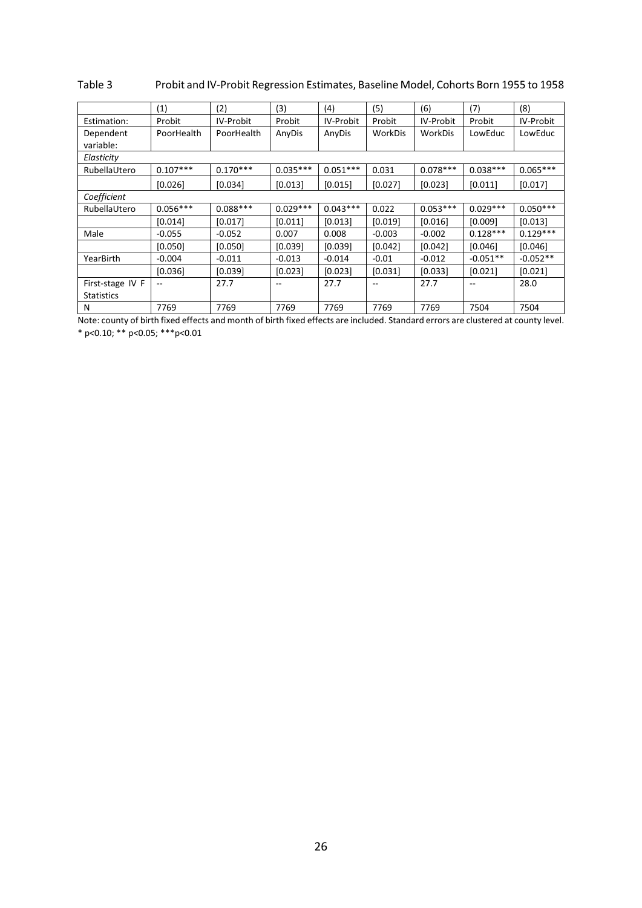| Table 3 | Probit and IV-Probit Regression Estimates, Baseline Model, Cohorts Born 1955 to 1958 |  |
|---------|--------------------------------------------------------------------------------------|--|
|---------|--------------------------------------------------------------------------------------|--|

|                   | (1)        | (2)        | (3)        | (4)        | (5)            | (6)        | (7)        | (8)        |
|-------------------|------------|------------|------------|------------|----------------|------------|------------|------------|
| Estimation:       | Probit     | IV-Probit  | Probit     | IV-Probit  | Probit         | IV-Probit  | Probit     | IV-Probit  |
| Dependent         | PoorHealth | PoorHealth | AnyDis     | AnyDis     | <b>WorkDis</b> | WorkDis    | LowEduc    | LowEduc    |
| variable:         |            |            |            |            |                |            |            |            |
| Elasticity        |            |            |            |            |                |            |            |            |
| RubellaUtero      | $0.107***$ | $0.170***$ | $0.035***$ | $0.051***$ | 0.031          | $0.078***$ | $0.038***$ | $0.065***$ |
|                   | [0.026]    | [0.034]    | [0.013]    | [0.015]    | [0.027]        | [0.023]    | [0.011]    | [0.017]    |
| Coefficient       |            |            |            |            |                |            |            |            |
| RubellaUtero      | $0.056***$ | $0.088***$ | $0.029***$ | $0.043***$ | 0.022          | $0.053***$ | $0.029***$ | $0.050***$ |
|                   | [0.014]    | [0.017]    | [0.011]    | [0.013]    | [0.019]        | [0.016]    | [0.009]    | [0.013]    |
| Male              | $-0.055$   | $-0.052$   | 0.007      | 0.008      | $-0.003$       | $-0.002$   | $0.128***$ | $0.129***$ |
|                   | [0.050]    | [0.050]    | [0.039]    | [0.039]    | [0.042]        | [0.042]    | [0.046]    | [0.046]    |
| YearBirth         | $-0.004$   | $-0.011$   | $-0.013$   | $-0.014$   | $-0.01$        | $-0.012$   | $-0.051**$ | $-0.052**$ |
|                   | [0.036]    | [0.039]    | [0.023]    | [0.023]    | [0.031]        | [0.033]    | [0.021]    | [0.021]    |
| First-stage IV F  | $-$        | 27.7       | --         | 27.7       | --             | 27.7       | --         | 28.0       |
| <b>Statistics</b> |            |            |            |            |                |            |            |            |
| N                 | 7769       | 7769       | 7769       | 7769       | 7769           | 7769       | 7504       | 7504       |

Note: county of birth fixed effects and month of birth fixed effects are included. Standard errors are clustered at county level. \* p<0.10; \*\* p<0.05; \*\*\*p<0.01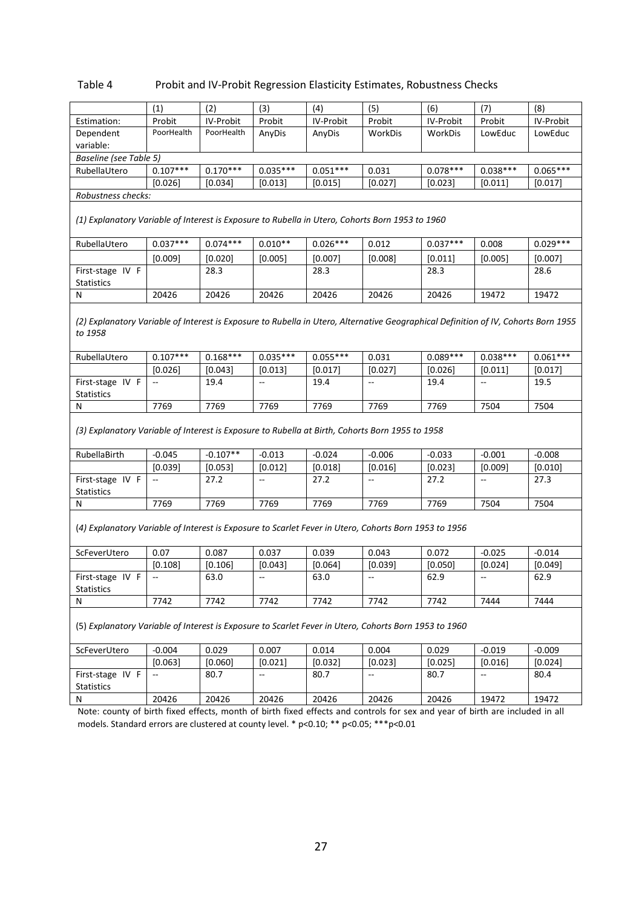| Table 4 | Probit and IV-Probit Regression Elasticity Estimates, Robustness Checks |  |
|---------|-------------------------------------------------------------------------|--|
|         |                                                                         |  |

|                                                                                                                                               | (1)                                           | (2)        | (3)            | (4)        | (5)            | (6)        | (7)                      | (8)        |
|-----------------------------------------------------------------------------------------------------------------------------------------------|-----------------------------------------------|------------|----------------|------------|----------------|------------|--------------------------|------------|
| Estimation:                                                                                                                                   | Probit                                        | IV-Probit  | Probit         | IV-Probit  | Probit         | IV-Probit  | Probit                   | IV-Probit  |
| Dependent                                                                                                                                     | PoorHealth                                    | PoorHealth | AnyDis         | AnyDis     | WorkDis        | WorkDis    | LowEduc                  | LowEduc    |
| variable:                                                                                                                                     |                                               |            |                |            |                |            |                          |            |
| Baseline (see Table 5)                                                                                                                        |                                               |            |                |            |                |            |                          |            |
| RubellaUtero                                                                                                                                  | $0.107***$                                    | $0.170***$ | $0.035***$     | $0.051***$ | 0.031          | $0.078***$ | $0.038***$               | $0.065***$ |
|                                                                                                                                               | [0.026]                                       | [0.034]    | [0.013]        | [0.015]    | [0.027]        | [0.023]    | [0.011]                  | [0.017]    |
| Robustness checks:                                                                                                                            |                                               |            |                |            |                |            |                          |            |
| (1) Explanatory Variable of Interest is Exposure to Rubella in Utero, Cohorts Born 1953 to 1960                                               |                                               |            |                |            |                |            |                          |            |
| RubellaUtero                                                                                                                                  | $0.037***$                                    | $0.074***$ | $0.010**$      | $0.026***$ | 0.012          | $0.037***$ | 0.008                    | $0.029***$ |
|                                                                                                                                               | [0.009]                                       | [0.020]    | [0.005]        | [0.007]    | [0.008]        | [0.011]    | [0.005]                  | [0.007]    |
| First-stage IV F                                                                                                                              |                                               | 28.3       |                | 28.3       |                | 28.3       |                          | 28.6       |
| Statistics                                                                                                                                    |                                               |            |                |            |                |            |                          |            |
| N                                                                                                                                             | 20426                                         | 20426      | 20426          | 20426      | 20426          | 20426      | 19472                    | 19472      |
|                                                                                                                                               |                                               |            |                |            |                |            |                          |            |
| (2) Explanatory Variable of Interest is Exposure to Rubella in Utero, Alternative Geographical Definition of IV, Cohorts Born 1955<br>to 1958 |                                               |            |                |            |                |            |                          |            |
| RubellaUtero                                                                                                                                  | $0.107***$                                    | $0.168***$ | $0.035***$     | $0.055***$ | 0.031          | $0.089***$ | $0.038***$               | $0.061***$ |
|                                                                                                                                               | [0.026]                                       | [0.043]    | [0.013]        | [0.017]    | [0.027]        | [0.026]    | [0.011]                  | [0.017]    |
| First-stage IV F<br><b>Statistics</b>                                                                                                         | $\mathbb{L}^{\mathbb{L}}$                     | 19.4       | Ξ.             | 19.4       | Ξ.             | 19.4       | $\overline{\phantom{a}}$ | 19.5       |
| Ν                                                                                                                                             | 7769                                          | 7769       | 7769           | 7769       | 7769           | 7769       | 7504                     | 7504       |
| (3) Explanatory Variable of Interest is Exposure to Rubella at Birth, Cohorts Born 1955 to 1958                                               |                                               |            |                |            |                |            |                          |            |
| RubellaBirth                                                                                                                                  | $-0.045$                                      | $-0.107**$ | $-0.013$       | $-0.024$   | $-0.006$       | $-0.033$   | $-0.001$                 | $-0.008$   |
|                                                                                                                                               | [0.039]                                       | [0.053]    | [0.012]        | [0.018]    | [0.016]        | [0.023]    | [0.009]                  | [0.010]    |
| First-stage IV F<br><b>Statistics</b>                                                                                                         | $\mathord{\hspace{1pt}\text{--}\hspace{1pt}}$ | 27.2       | Щ,             | 27.2       | $-$            | 27.2       | $\overline{\phantom{a}}$ | 27.3       |
| N                                                                                                                                             | 7769                                          | 7769       | 7769           | 7769       | 7769           | 7769       | 7504                     | 7504       |
| (4) Explanatory Variable of Interest is Exposure to Scarlet Fever in Utero, Cohorts Born 1953 to 1956                                         |                                               |            |                |            |                |            |                          |            |
| ScFeverUtero                                                                                                                                  | 0.07                                          | 0.087      | 0.037          | 0.039      | 0.043          | 0.072      | $-0.025$                 | $-0.014$   |
|                                                                                                                                               | [0.108]                                       | [0.106]    | [0.043]        | [0.064]    | [0.039]        | [0.050]    | [0.024]                  | [0.049]    |
| First-stage IV F<br>Statistics                                                                                                                | $\overline{\phantom{a}}$                      | 63.0       | $\overline{a}$ | 63.0       | $\overline{a}$ | 62.9       | Ξ.                       | 62.9       |
| N                                                                                                                                             | 7742                                          | 7742       | 7742           | 7742       | 7742           | 7742       | 7444                     | 7444       |
| (5) Explanatory Variable of Interest is Exposure to Scarlet Fever in Utero, Cohorts Born 1953 to 1960                                         |                                               |            |                |            |                |            |                          |            |
| ScFeverUtero                                                                                                                                  | $-0.004$                                      | 0.029      | 0.007          | 0.014      | 0.004          | 0.029      | $-0.019$                 | $-0.009$   |
|                                                                                                                                               | [0.063]                                       | [0.060]    | [0.021]        | [0.032]    | [0.023]        | [0.025]    | [0.016]                  | [0.024]    |
| First-stage IV F<br>Statistics                                                                                                                | $\ddot{\phantom{1}}$                          | 80.7       | Ξ.             | 80.7       | Ξ.             | 80.7       | ۰.                       | 80.4       |
| N                                                                                                                                             | 20426                                         | 20426      | 20426          | 20426      | 20426          | 20426      | 19472                    | 19472      |

Note: county of birth fixed effects, month of birth fixed effects and controls for sex and year of birth are included in all models. Standard errors are clustered at county level. \* p<0.10; \*\* p<0.05; \*\*\*p<0.01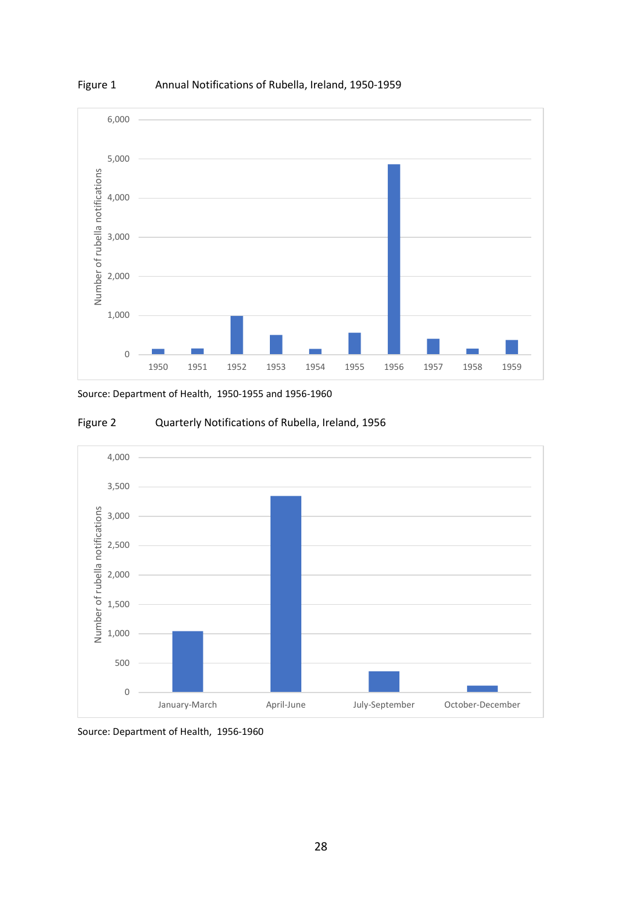



Source: Department of Health, 1950-1955 and 1956-1960



## Figure 2 Quarterly Notifications of Rubella, Ireland, 1956

Source: Department of Health, 1956-1960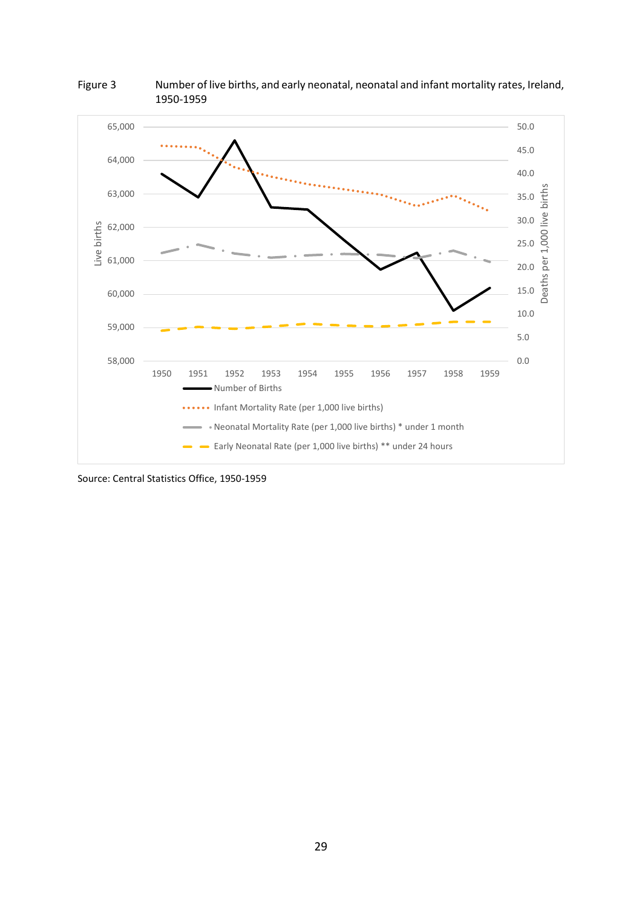

Figure 3 Number of live births, and early neonatal, neonatal and infant mortality rates, Ireland, 1950-1959

Source: Central Statistics Office, 1950-1959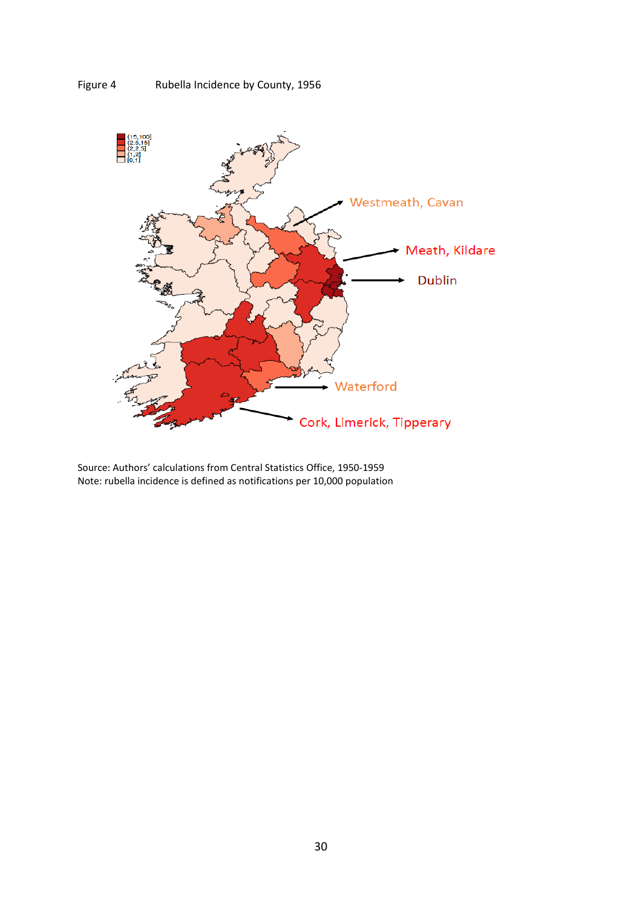

Source: Authors' calculations from Central Statistics Office, 1950-1959 Note: rubella incidence is defined as notifications per 10,000 population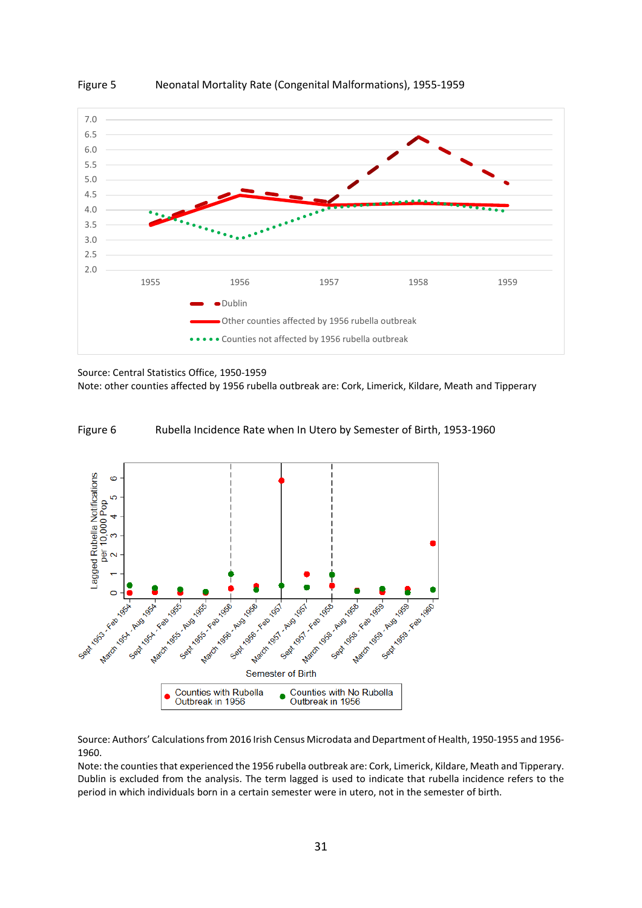

## Figure 5 Neonatal Mortality Rate (Congenital Malformations), 1955-1959

## Figure 6 Rubella Incidence Rate when In Utero by Semester of Birth, 1953-1960



Source: Authors' Calculations from 2016 Irish Census Microdata and Department of Health, 1950-1955 and 1956- 1960.

Note: the counties that experienced the 1956 rubella outbreak are: Cork, Limerick, Kildare, Meath and Tipperary. Dublin is excluded from the analysis. The term lagged is used to indicate that rubella incidence refers to the period in which individuals born in a certain semester were in utero, not in the semester of birth.

Source: Central Statistics Office, 1950-1959 Note: other counties affected by 1956 rubella outbreak are: Cork, Limerick, Kildare, Meath and Tipperary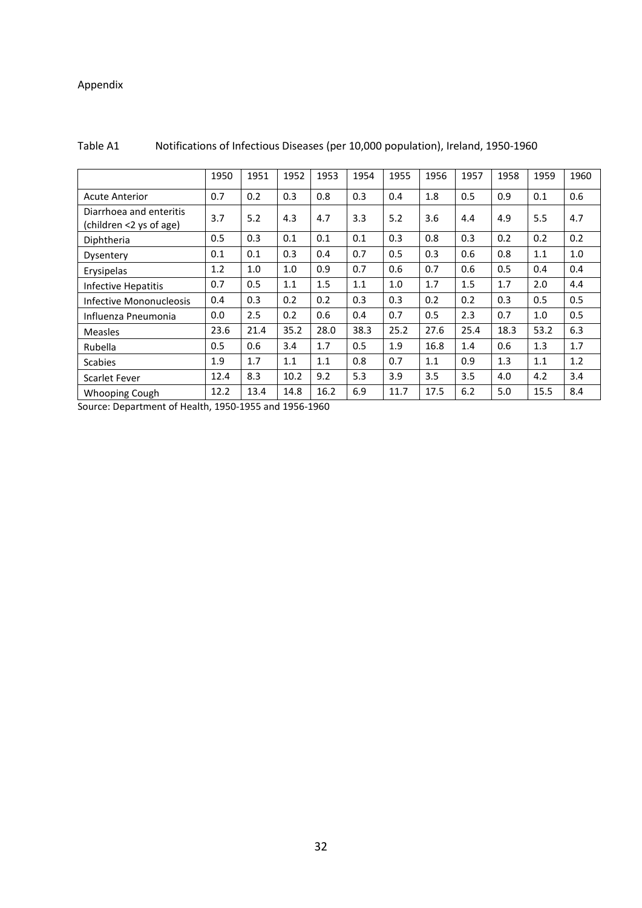## Appendix

|                                                    | 1950 | 1951 | 1952 | 1953 | 1954 | 1955 | 1956 | 1957  | 1958 | 1959 | 1960 |
|----------------------------------------------------|------|------|------|------|------|------|------|-------|------|------|------|
| <b>Acute Anterior</b>                              | 0.7  | 0.2  | 0.3  | 0.8  | 0.3  | 0.4  | 1.8  | 0.5   | 0.9  | 0.1  | 0.6  |
| Diarrhoea and enteritis<br>(children <2 ys of age) | 3.7  | 5.2  | 4.3  | 4.7  | 3.3  | 5.2  | 3.6  | 4.4   | 4.9  | 5.5  | 4.7  |
| Diphtheria                                         | 0.5  | 0.3  | 0.1  | 0.1  | 0.1  | 0.3  | 0.8  | 0.3   | 0.2  | 0.2  | 0.2  |
| Dysentery                                          | 0.1  | 0.1  | 0.3  | 0.4  | 0.7  | 0.5  | 0.3  | 0.6   | 0.8  | 1.1  | 1.0  |
| Erysipelas                                         | 1.2  | 1.0  | 1.0  | 0.9  | 0.7  | 0.6  | 0.7  | 0.6   | 0.5  | 0.4  | 0.4  |
| Infective Hepatitis                                | 0.7  | 0.5  | 1.1  | 1.5  | 1.1  | 1.0  | 1.7  | 1.5   | 1.7  | 2.0  | 4.4  |
| Infective Mononucleosis                            | 0.4  | 0.3  | 0.2  | 0.2  | 0.3  | 0.3  | 0.2  | 0.2   | 0.3  | 0.5  | 0.5  |
| Influenza Pneumonia                                | 0.0  | 2.5  | 0.2  | 0.6  | 0.4  | 0.7  | 0.5  | 2.3   | 0.7  | 1.0  | 0.5  |
| <b>Measles</b>                                     | 23.6 | 21.4 | 35.2 | 28.0 | 38.3 | 25.2 | 27.6 | 25.4  | 18.3 | 53.2 | 6.3  |
| Rubella                                            | 0.5  | 0.6  | 3.4  | 1.7  | 0.5  | 1.9  | 16.8 | 1.4   | 0.6  | 1.3  | 1.7  |
| <b>Scabies</b>                                     | 1.9  | 1.7  | 1.1  | 1.1  | 0.8  | 0.7  | 1.1  | 0.9   | 1.3  | 1.1  | 1.2  |
| Scarlet Fever                                      | 12.4 | 8.3  | 10.2 | 9.2  | 5.3  | 3.9  | 3.5  | 3.5   | 4.0  | 4.2  | 3.4  |
| <b>Whooping Cough</b>                              | 12.2 | 13.4 | 14.8 | 16.2 | 6.9  | 11.7 | 17.5 | $6.2$ | 5.0  | 15.5 | 8.4  |

## Table A1 Notifications of Infectious Diseases (per 10,000 population), Ireland, 1950-1960

Source: Department of Health, 1950-1955 and 1956-1960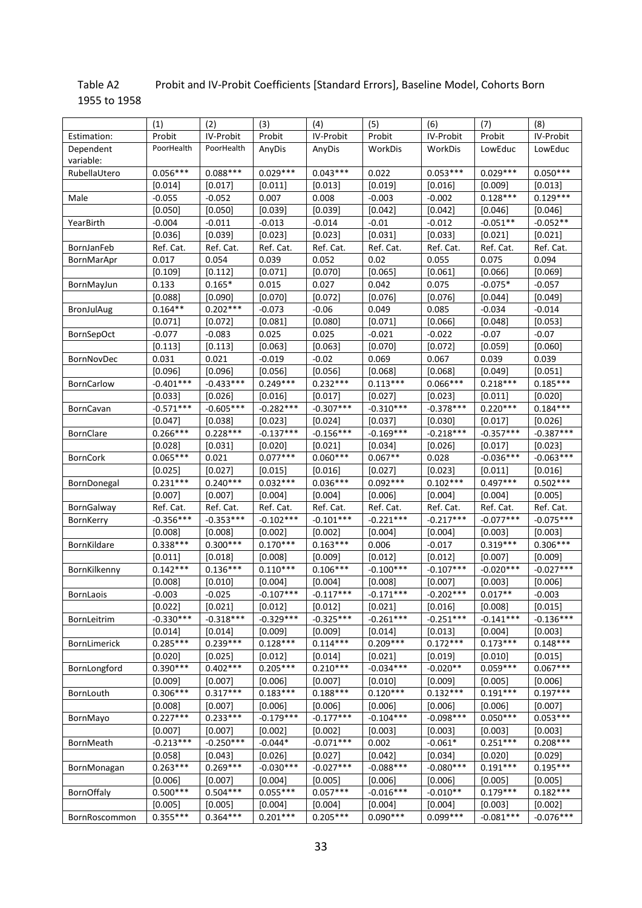## Table A2 Probit and IV-Probit Coefficients [Standard Errors], Baseline Model, Cohorts Born 1955 to 1958

|                     | (1)         | (2)         | (3)         | (4)         | (5)         | (6)         | (7)         | (8)         |
|---------------------|-------------|-------------|-------------|-------------|-------------|-------------|-------------|-------------|
| Estimation:         | Probit      | IV-Probit   | Probit      | IV-Probit   | Probit      | IV-Probit   | Probit      | IV-Probit   |
| Dependent           | PoorHealth  | PoorHealth  | AnyDis      | AnyDis      | WorkDis     | WorkDis     | LowEduc     | LowEduc     |
| variable:           |             |             |             |             |             |             |             |             |
| RubellaUtero        | $0.056***$  | $0.088***$  | $0.029***$  | $0.043***$  | 0.022       | $0.053***$  | $0.029***$  | $0.050***$  |
|                     | [0.014]     | [0.017]     | [0.011]     | [0.013]     | [0.019]     | [0.016]     | [0.009]     | [0.013]     |
| Male                | $-0.055$    | $-0.052$    | 0.007       | 0.008       | $-0.003$    | $-0.002$    | $0.128***$  | $0.129***$  |
|                     | [0.050]     | [0.050]     | [0.039]     | [0.039]     | [0.042]     | [0.042]     | [0.046]     | [0.046]     |
| YearBirth           | $-0.004$    | $-0.011$    | $-0.013$    | $-0.014$    | $-0.01$     | $-0.012$    | $-0.051**$  | $-0.052**$  |
|                     | [0.036]     | [0.039]     | [0.023]     | [0.023]     | [0.031]     | [0.033]     | [0.021]     | [0.021]     |
| <b>BornJanFeb</b>   | Ref. Cat.   | Ref. Cat.   | Ref. Cat.   | Ref. Cat.   | Ref. Cat.   | Ref. Cat.   | Ref. Cat.   | Ref. Cat.   |
| BornMarApr          | 0.017       | 0.054       | 0.039       | 0.052       | 0.02        | 0.055       | 0.075       | 0.094       |
|                     | [0.109]     | [0.112]     | [0.071]     | [0.070]     | [0.065]     | [0.061]     | [0.066]     | [0.069]     |
| BornMayJun          | 0.133       | $0.165*$    | 0.015       | 0.027       | 0.042       | 0.075       | $-0.075*$   | $-0.057$    |
|                     | [0.088]     | [0.090]     | $[0.070]$   | [0.072]     | [0.076]     | [0.076]     | $[0.044]$   | [0.049]     |
| BronJulAug          | $0.164**$   | $0.202***$  | $-0.073$    | $-0.06$     | 0.049       | 0.085       | $-0.034$    | $-0.014$    |
|                     | [0.071]     | [0.072]     | [0.081]     | [0.080]     | [0.071]     | [0.066]     | [0.048]     | [0.053]     |
| <b>BornSepOct</b>   | $-0.077$    | $-0.083$    | 0.025       | 0.025       | $-0.021$    | $-0.022$    | $-0.07$     | $-0.07$     |
|                     | [0.113]     | [0.113]     | [0.063]     | [0.063]     | [0.070]     | [0.072]     | [0.059]     | [0.060]     |
| BornNovDec          | 0.031       | 0.021       | $-0.019$    | $-0.02$     | 0.069       | 0.067       | 0.039       | 0.039       |
|                     | [0.096]     | [0.096]     | [0.056]     | [0.056]     | [0.068]     | [0.068]     | [0.049]     | [0.051]     |
| <b>BornCarlow</b>   | $-0.401***$ | $-0.433***$ | $0.249***$  | $0.232***$  | $0.113***$  | $0.066***$  | $0.218***$  | $0.185***$  |
|                     | [0.033]     | [0.026]     | [0.016]     | [0.017]     | [0.027]     | [0.023]     | [0.011]     | [0.020]     |
| <b>BornCavan</b>    | $-0.571***$ | $-0.605***$ | $-0.282***$ | $-0.307***$ | $-0.310***$ | $-0.378***$ | $0.220***$  | $0.184***$  |
|                     | [0.047]     | [0.038]     | [0.023]     | [0.024]     | [0.037]     | [0.030]     | [0.017]     | [0.026]     |
| <b>BornClare</b>    | $0.266***$  | $0.228***$  | $-0.137***$ | $-0.156***$ | $-0.169***$ | $-0.218***$ | $-0.357***$ | $-0.387***$ |
|                     | [0.028]     | [0.031]     | [0.020]     | [0.021]     | [0.034]     | [0.026]     | [0.017]     | [0.023]     |
| <b>BornCork</b>     | $0.065***$  | 0.021       | $0.077***$  | $0.060***$  | $0.067**$   | 0.028       | $-0.036***$ | $-0.063***$ |
|                     | [0.025]     | [0.027]     | [0.015]     | [0.016]     | [0.027]     | [0.023]     | [0.011]     | [0.016]     |
| BornDonegal         | $0.231***$  | $0.240***$  | $0.032***$  | $0.036***$  | $0.092***$  | $0.102***$  | $0.497***$  | $0.502***$  |
|                     | [0.007]     | [0.007]     | [0.004]     | [0.004]     | [0.006]     | [0.004]     | [0.004]     | [0.005]     |
| BornGalway          | Ref. Cat.   | Ref. Cat.   | Ref. Cat.   | Ref. Cat.   | Ref. Cat.   | Ref. Cat.   | Ref. Cat.   | Ref. Cat.   |
| BornKerry           | $-0.356***$ | $-0.353***$ | $-0.102***$ | $-0.101***$ | $-0.221***$ | $-0.217***$ | $-0.077***$ | $-0.075***$ |
|                     | [0.008]     | [0.008]     | [0.002]     | [0.002]     | [0.004]     | [0.004]     | [0.003]     | [0.003]     |
| <b>BornKildare</b>  | $0.338***$  | $0.300***$  | $0.170***$  | $0.163***$  | 0.006       | $-0.017$    | $0.319***$  | $0.306***$  |
|                     | [0.011]     | [0.018]     | [0.008]     | [0.009]     | [0.012]     | [0.012]     | [0.007]     | [0.009]     |
| BornKilkenny        | $0.142***$  | $0.136***$  | $0.110***$  | $0.106***$  | $-0.100***$ | $-0.107***$ | $-0.020***$ | $-0.027***$ |
|                     | [0.008]     | [0.010]     | $[0.004]$   | [0.004]     | [0.008]     | [0.007]     | [0.003]     | [0.006]     |
| <b>BornLaois</b>    | $-0.003$    | $-0.025$    | $-0.107***$ | $-0.117***$ | $-0.171***$ | $-0.202***$ | $0.017**$   | $-0.003$    |
|                     | [0.022]     | [0.021]     | [0.012]     | [0.012]     | [0.021]     | [0.016]     | [0.008]     | [0.015]     |
| <b>BornLeitrim</b>  | $-0.330***$ | $-0.318***$ | $-0.329***$ | $-0.325***$ | $-0.261***$ | $-0.251***$ | $-0.141***$ | $-0.136***$ |
|                     | [0.014]     | [0.014]     | [0.009]     | [0.009]     | [0.014]     | [0.013]     | [0.004]     | [0.003]     |
| <b>BornLimerick</b> | $0.285***$  | $0.239***$  | $0.128***$  | $0.114***$  | $0.209***$  | $0.172***$  | $0.173***$  | $0.148***$  |
|                     | [0.020]     | [0.025]     | [0.012]     | [0.014]     | [0.021]     | $[0.019]$   | $[0.010]$   | [0.015]     |
| BornLongford        | $0.390***$  | $0.402***$  | $0.205***$  | $0.210***$  | $-0.034***$ | $-0.020**$  | $0.059***$  | $0.067***$  |
|                     | [0.009]     | [0.007]     | [0.006]     | [0.007]     | $[0.010]$   | [0.009]     | [0.005]     | [0.006]     |
| BornLouth           | $0.306***$  | $0.317***$  | $0.183***$  | $0.188***$  | $0.120***$  | $0.132***$  | $0.191***$  | $0.197***$  |
|                     | [0.008]     | $[0.007]$   | [0.006]     | [0.006]     | [0.006]     | [0.006]     | [0.006]     | [0.007]     |
| BornMayo            | $0.227***$  | $0.233***$  | $-0.179***$ | $-0.177***$ | $-0.104***$ | $-0.098***$ | $0.050***$  | $0.053***$  |
|                     | [0.007]     | [0.007]     | [0.002]     | [0.002]     | [0.003]     | [0.003]     | [0.003]     | [0.003]     |
| <b>BornMeath</b>    | $-0.213***$ | $-0.250***$ | $-0.044*$   | $-0.071***$ | 0.002       | $-0.061*$   | $0.251***$  | $0.208***$  |
|                     | [0.058]     | [0.043]     | [0.026]     | [0.027]     | [0.042]     | $[0.034]$   | [0.020]     | [0.029]     |
| BornMonagan         | $0.263***$  | $0.269***$  | $-0.030***$ | $-0.027***$ | $-0.088***$ | $-0.080***$ | $0.191***$  | $0.195***$  |
|                     | [0.006]     | [0.007]     | [0.004]     | [0.005]     | [0.006]     | [0.006]     | [0.005]     | [0.005]     |
| <b>BornOffaly</b>   | $0.500***$  | $0.504***$  | $0.055***$  | $0.057***$  | $-0.016***$ | $-0.010**$  | $0.179***$  | $0.182***$  |
|                     | [0.005]     | [0.005]     | [0.004]     | [0.004]     | [0.004]     | [0.004]     | [0.003]     | [0.002]     |
| BornRoscommon       | $0.355***$  | $0.364***$  | $0.201***$  | $0.205***$  | $0.090***$  | $0.099***$  | $-0.081***$ | $-0.076***$ |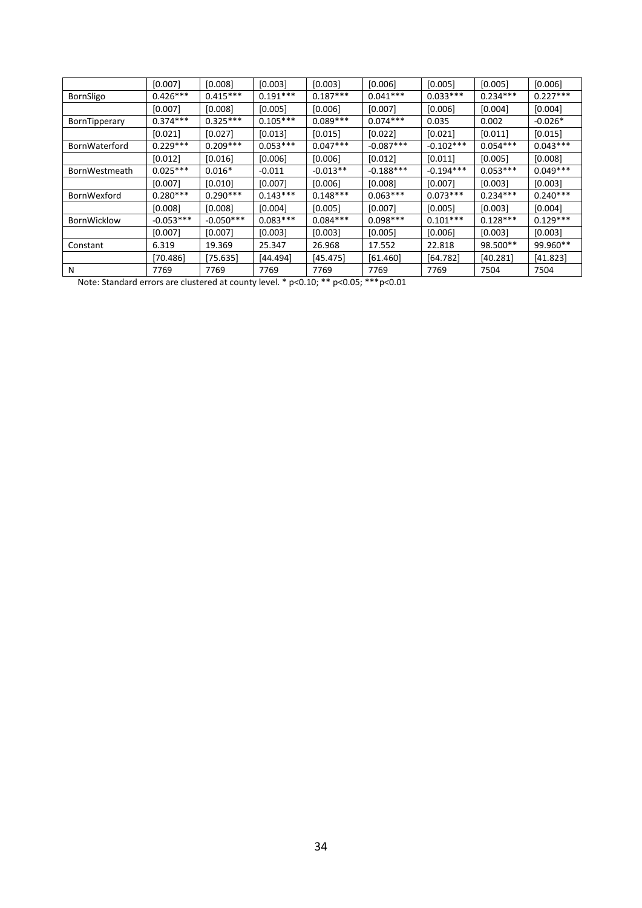|                      | [0.007]     | [0.008]     | [0.003]    | [0.003]    | $[0.006]$   | [0.005]     | [0.005]    | [0.006]    |
|----------------------|-------------|-------------|------------|------------|-------------|-------------|------------|------------|
| BornSligo            | $0.426***$  | $0.415***$  | $0.191***$ | $0.187***$ | $0.041***$  | $0.033***$  | $0.234***$ | $0.227***$ |
|                      | [0.007]     | [0.008]     | [0.005]    | [0.006]    | [0.007]     | [0.006]     | [0.004]    | [0.004]    |
| BornTipperary        | $0.374***$  | $0.325***$  | $0.105***$ | $0.089***$ | $0.074***$  | 0.035       | 0.002      | $-0.026*$  |
|                      | [0.021]     | [0.027]     | [0.013]    | [0.015]    | [0.022]     | [0.021]     | [0.011]    | [0.015]    |
| <b>BornWaterford</b> | $0.229***$  | $0.209***$  | $0.053***$ | $0.047***$ | $-0.087***$ | $-0.102***$ | $0.054***$ | $0.043***$ |
|                      | [0.012]     | [0.016]     | [0.006]    | [0.006]    | [0.012]     | [0.011]     | [0.005]    | [0.008]    |
| <b>BornWestmeath</b> | $0.025***$  | $0.016*$    | $-0.011$   | $-0.013**$ | $-0.188***$ | $-0.194***$ | $0.053***$ | $0.049***$ |
|                      | [0.007]     | [0.010]     | [0.007]    | [0.006]    | $[0.008]$   | [0.007]     | [0.003]    | [0.003]    |
| BornWexford          | $0.280***$  | $0.290***$  | $0.143***$ | $0.148***$ | $0.063***$  | $0.073***$  | $0.234***$ | $0.240***$ |
|                      | [0.008]     | [0.008]     | [0.004]    | [0.005]    | [0.007]     | [0.005]     | [0.003]    | [0.004]    |
| BornWicklow          | $-0.053***$ | $-0.050***$ | $0.083***$ | $0.084***$ | $0.098***$  | $0.101***$  | $0.128***$ | $0.129***$ |
|                      | [0.007]     | [0.007]     | [0.003]    | [0.003]    | [0.005]     | [0.006]     | [0.003]    | [0.003]    |
| Constant             | 6.319       | 19.369      | 25.347     | 26.968     | 17.552      | 22.818      | 98.500**   | 99.960**   |
|                      | [70.486]    | [75.635]    | [44.494]   | [45.475]   | [61.460]    | [64.782]    | [40.281]   | [41.823]   |
| N                    | 7769        | 7769        | 7769       | 7769       | 7769        | 7769        | 7504       | 7504       |

Note: Standard errors are clustered at county level. \* p<0.10; \*\* p<0.05; \*\*\*p<0.01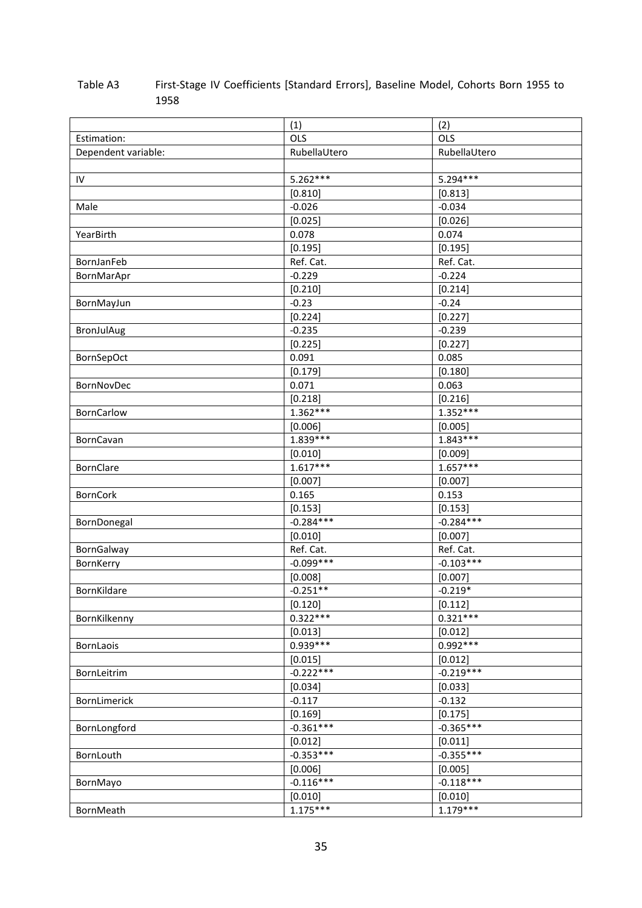## Table A3 First-Stage IV Coefficients [Standard Errors], Baseline Model, Cohorts Born 1955 to 1958

|                     | (1)          | (2)          |
|---------------------|--------------|--------------|
| Estimation:         | OLS          | <b>OLS</b>   |
| Dependent variable: | RubellaUtero | RubellaUtero |
|                     |              |              |
| IV                  | $5.262***$   | $5.294***$   |
|                     | [0.810]      | [0.813]      |
| Male                | $-0.026$     | $-0.034$     |
|                     | [0.025]      | [0.026]      |
| YearBirth           | 0.078        | 0.074        |
|                     | [0.195]      | [0.195]      |
| BornJanFeb          | Ref. Cat.    | Ref. Cat.    |
| BornMarApr          | $-0.229$     | $-0.224$     |
|                     | [0.210]      | [0.214]      |
| BornMayJun          | $-0.23$      | $-0.24$      |
|                     | [0.224]      | [0.227]      |
| BronJulAug          | $-0.235$     | $-0.239$     |
|                     | [0.225]      | [0.227]      |
| BornSepOct          | 0.091        | 0.085        |
|                     | [0.179]      | [0.180]      |
| BornNovDec          | 0.071        | 0.063        |
|                     | [0.218]      | [0.216]      |
| <b>BornCarlow</b>   | $1.362***$   | $1.352***$   |
|                     | [0.006]      | [0.005]      |
| BornCavan           | 1.839***     | $1.843***$   |
|                     | [0.010]      | [0.009]      |
| <b>BornClare</b>    | $1.617***$   | $1.657***$   |
|                     | [0.007]      | [0.007]      |
| <b>BornCork</b>     | 0.165        | 0.153        |
|                     | [0.153]      | [0.153]      |
| BornDonegal         | $-0.284***$  | $-0.284***$  |
|                     | [0.010]      | [0.007]      |
| BornGalway          | Ref. Cat.    | Ref. Cat.    |
| BornKerry           | $-0.099***$  | $-0.103***$  |
|                     | [0.008]      | [0.007]      |
| BornKildare         | $-0.251**$   | $-0.219*$    |
|                     | [0.120]      | [0.112]      |
| BornKilkenny        | $0.322***$   | $0.321***$   |
|                     | [0.013]      | [0.012]      |
| BornLaois           | 0.939 ***    | 0.992 ***    |
|                     | [0.015]      | [0.012]      |
| BornLeitrim         | $-0.222***$  | $-0.219***$  |
|                     | [0.034]      | [0.033]      |
| BornLimerick        | $-0.117$     | $-0.132$     |
|                     | [0.169]      | [0.175]      |
| BornLongford        | $-0.361***$  | $-0.365***$  |
|                     | [0.012]      | [0.011]      |
| BornLouth           | $-0.353***$  | $-0.355***$  |
|                     | [0.006]      | [0.005]      |
| BornMayo            | $-0.116***$  | $-0.118***$  |
|                     | [0.010]      | [0.010]      |
| BornMeath           | $1.175***$   | $1.179***$   |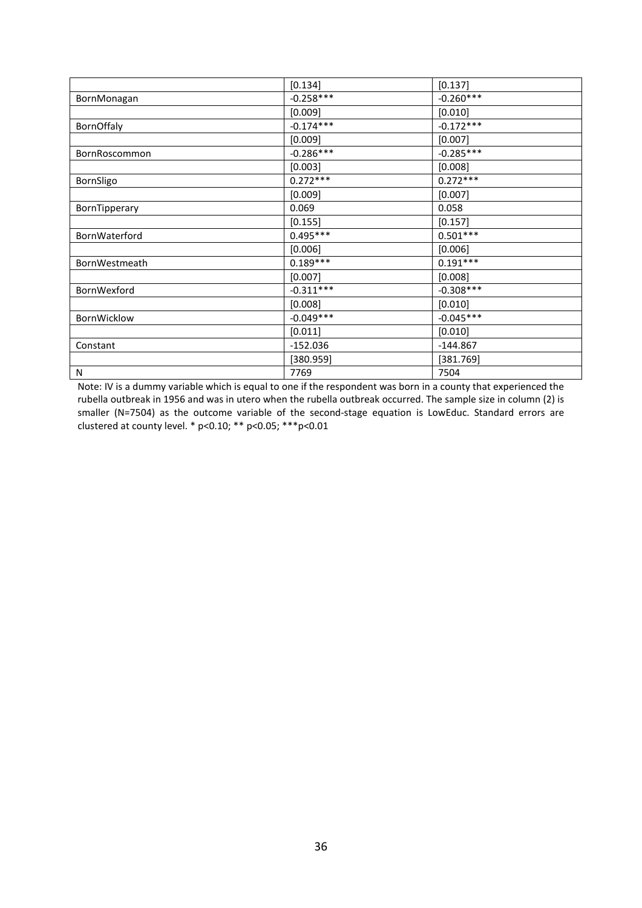|                   | [0.134]     | [0.137]     |
|-------------------|-------------|-------------|
| BornMonagan       | $-0.258***$ | $-0.260***$ |
|                   | [0.009]     | [0.010]     |
| <b>BornOffaly</b> | $-0.174***$ | $-0.172***$ |
|                   | [0.009]     | [0.007]     |
| BornRoscommon     | $-0.286***$ | $-0.285***$ |
|                   | [0.003]     | [0.008]     |
| BornSligo         | $0.272***$  | $0.272***$  |
|                   | [0.009]     | [0.007]     |
| BornTipperary     | 0.069       | 0.058       |
|                   | [0.155]     | [0.157]     |
| BornWaterford     | $0.495***$  | $0.501***$  |
|                   | [0.006]     | [0.006]     |
| BornWestmeath     | $0.189***$  | $0.191***$  |
|                   | [0.007]     | [0.008]     |
| BornWexford       | $-0.311***$ | $-0.308***$ |
|                   | [0.008]     | [0.010]     |
| BornWicklow       | $-0.049***$ | $-0.045***$ |
|                   | [0.011]     | [0.010]     |
| Constant          | $-152.036$  | $-144.867$  |
|                   | [380.959]   | [381.769]   |
| $\mathsf{N}$      | 7769        | 7504        |

Note: IV is a dummy variable which is equal to one if the respondent was born in a county that experienced the rubella outbreak in 1956 and was in utero when the rubella outbreak occurred. The sample size in column (2) is smaller (N=7504) as the outcome variable of the second-stage equation is LowEduc. Standard errors are clustered at county level. \* p<0.10; \*\* p<0.05; \*\*\*p<0.01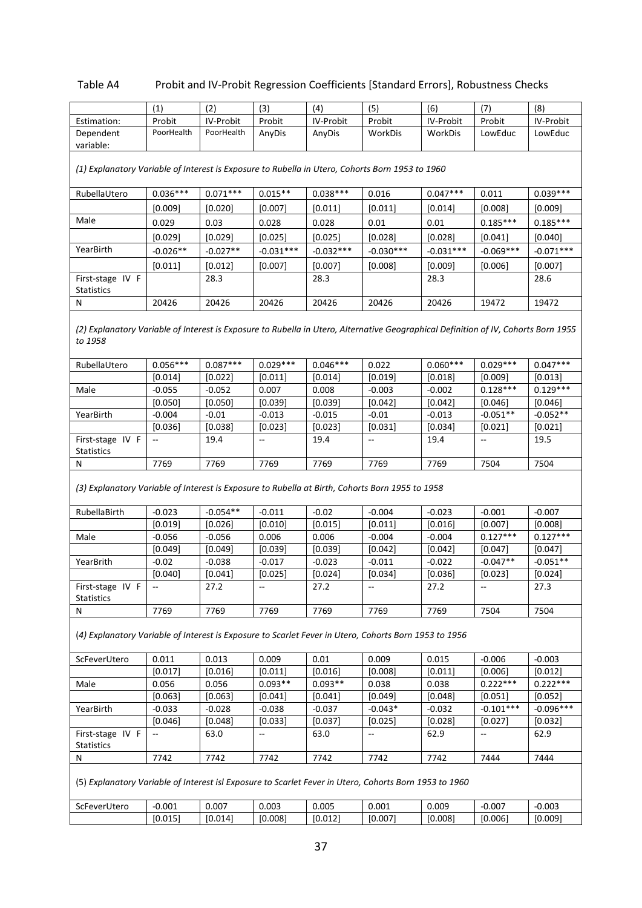| Table A4 | Probit and IV-Probit Regression Coefficients [Standard Errors], Robustness Checks |
|----------|-----------------------------------------------------------------------------------|
|          |                                                                                   |

|                                                                                                                                               | (1)        | (2)        | (3)         | (4)         | (5)                      | (6)         | (7)         | (8)         |  |  |
|-----------------------------------------------------------------------------------------------------------------------------------------------|------------|------------|-------------|-------------|--------------------------|-------------|-------------|-------------|--|--|
| Estimation:                                                                                                                                   | Probit     | IV-Probit  | Probit      | IV-Probit   | Probit                   | IV-Probit   | Probit      | IV-Probit   |  |  |
| Dependent<br>variable:                                                                                                                        | PoorHealth | PoorHealth | AnyDis      | AnyDis      | WorkDis                  | WorkDis     | LowEduc     | LowEduc     |  |  |
| (1) Explanatory Variable of Interest is Exposure to Rubella in Utero, Cohorts Born 1953 to 1960                                               |            |            |             |             |                          |             |             |             |  |  |
| RubellaUtero                                                                                                                                  | $0.036***$ | $0.071***$ | $0.015**$   | $0.038***$  | 0.016                    | $0.047***$  | 0.011       | $0.039***$  |  |  |
|                                                                                                                                               | [0.009]    | [0.020]    | [0.007]     | [0.011]     | [0.011]                  | [0.014]     | [0.008]     | [0.009]     |  |  |
| Male                                                                                                                                          | 0.029      | 0.03       | 0.028       | 0.028       | 0.01                     | 0.01        | $0.185***$  | $0.185***$  |  |  |
|                                                                                                                                               | [0.029]    | [0.029]    | [0.025]     | [0.025]     | [0.028]                  | [0.028]     | [0.041]     | [0.040]     |  |  |
| YearBirth                                                                                                                                     | $-0.026**$ | $-0.027**$ | $-0.031***$ | $-0.032***$ | $-0.030***$              | $-0.031***$ | $-0.069***$ | $-0.071***$ |  |  |
|                                                                                                                                               |            |            |             |             |                          |             |             |             |  |  |
|                                                                                                                                               | [0.011]    | [0.012]    | [0.007]     | [0.007]     | [0.008]                  | [0.009]     | [0.006]     | [0.007]     |  |  |
| First-stage IV F<br>Statistics                                                                                                                |            | 28.3       |             | 28.3        |                          | 28.3        |             | 28.6        |  |  |
| N                                                                                                                                             | 20426      | 20426      | 20426       | 20426       | 20426                    | 20426       | 19472       | 19472       |  |  |
| (2) Explanatory Variable of Interest is Exposure to Rubella in Utero, Alternative Geographical Definition of IV, Cohorts Born 1955<br>to 1958 |            |            |             |             |                          |             |             |             |  |  |
| RubellaUtero                                                                                                                                  | $0.056***$ | $0.087***$ | $0.029***$  | $0.046***$  | 0.022                    | $0.060***$  | $0.029***$  | $0.047***$  |  |  |
|                                                                                                                                               | [0.014]    | [0.022]    | [0.011]     | [0.014]     | [0.019]                  | [0.018]     | [0.009]     | [0.013]     |  |  |
| Male                                                                                                                                          | $-0.055$   | $-0.052$   | 0.007       | 0.008       | $-0.003$                 | $-0.002$    | $0.128***$  | $0.129***$  |  |  |
|                                                                                                                                               | [0.050]    | [0.050]    | [0.039]     | [0.039]     | [0.042]                  | [0.042]     | [0.046]     | [0.046]     |  |  |
| YearBirth                                                                                                                                     | $-0.004$   | $-0.01$    | $-0.013$    | $-0.015$    | $-0.01$                  | $-0.013$    | $-0.051**$  | $-0.052**$  |  |  |
|                                                                                                                                               | [0.036]    | [0.038]    | [0.023]     | [0.023]     | [0.031]                  | [0.034]     | [0.021]     | [0.021]     |  |  |
| First-stage IV F<br>Statistics                                                                                                                | --         | 19.4       | --          | 19.4        | $\overline{\phantom{a}}$ | 19.4        | --          | 19.5        |  |  |
| N                                                                                                                                             | 7769       | 7769       | 7769        | 7769        | 7769                     | 7769        | 7504        | 7504        |  |  |
| (3) Explanatory Variable of Interest is Exposure to Rubella at Birth, Cohorts Born 1955 to 1958                                               |            |            |             |             |                          |             |             |             |  |  |
| RubellaBirth                                                                                                                                  | $-0.023$   | $-0.054**$ | $-0.011$    | $-0.02$     | $-0.004$                 | $-0.023$    | $-0.001$    | $-0.007$    |  |  |
|                                                                                                                                               | [0.019]    | [0.026]    | [0.010]     | [0.015]     | [0.011]                  | [0.016]     | [0.007]     | [0.008]     |  |  |
| Male                                                                                                                                          | $-0.056$   | $-0.056$   | 0.006       | 0.006       | $-0.004$                 | $-0.004$    | $0.127***$  | $0.127***$  |  |  |
|                                                                                                                                               | [0.049]    | [0.049]    | [0.039]     | [0.039]     | [0.042]                  | [0.042]     | [0.047]     | [0.047]     |  |  |
| YearBrith                                                                                                                                     | $-0.02$    | $-0.038$   | $-0.017$    | $-0.023$    | $-0.011$                 | $-0.022$    | $-0.047**$  | $-0.051**$  |  |  |
|                                                                                                                                               | [0.040]    | [0.041]    | [0.025]     | [0.024]     | [0.034]                  | [0.036]     | [0.023]     | [0.024]     |  |  |
| First-stage IV F<br><b>Statistics</b>                                                                                                         |            | 27.2       |             | 27.2        |                          | 27.2        |             | 27.3        |  |  |
| N                                                                                                                                             | 7769       | 7769       | 7769        | 7769        | 7769                     | 7769        | 7504        | 7504        |  |  |
| (4) Explanatory Variable of Interest is Exposure to Scarlet Fever in Utero, Cohorts Born 1953 to 1956                                         |            |            |             |             |                          |             |             |             |  |  |
| ScFeverUtero                                                                                                                                  | 0.011      | 0.013      | 0.009       | 0.01        | 0.009                    | 0.015       | $-0.006$    | $-0.003$    |  |  |
|                                                                                                                                               | [0.017]    | [0.016]    | [0.011]     | [0.016]     | [0.008]                  | [0.011]     | [0.006]     | [0.012]     |  |  |
| Male                                                                                                                                          | 0.056      | 0.056      | $0.093**$   | $0.093**$   | 0.038                    | 0.038       | $0.222***$  | $0.222***$  |  |  |
|                                                                                                                                               | [0.063]    | [0.063]    | [0.041]     | [0.041]     | [0.049]                  | [0.048]     | [0.051]     | [0.052]     |  |  |
| YearBirth                                                                                                                                     | $-0.033$   | $-0.028$   | $-0.038$    | $-0.037$    | $-0.043*$                | $-0.032$    | $-0.101***$ | $-0.096***$ |  |  |
|                                                                                                                                               | [0.046]    | [0.048]    | [0.033]     | [0.037]     | [0.025]                  | [0.028]     | [0.027]     | [0.032]     |  |  |
| First-stage IV F<br><b>Statistics</b>                                                                                                         | Ξ.         | 63.0       | Ξ.          | 63.0        | $\overline{\phantom{a}}$ | 62.9        | Щ,          | 62.9        |  |  |
| N                                                                                                                                             | 7742       | 7742       | 7742        | 7742        | 7742                     | 7742        | 7444        | 7444        |  |  |
| (5) Explanatory Variable of Interest isl Exposure to Scarlet Fever in Utero, Cohorts Born 1953 to 1960                                        |            |            |             |             |                          |             |             |             |  |  |
| ScFeverUtero                                                                                                                                  | $-0.001$   | 0.007      | 0.003       | 0.005       | 0.001                    | 0.009       | $-0.007$    | $-0.003$    |  |  |
|                                                                                                                                               | [0.015]    | [0.014]    | [0.008]     | [0.012]     | [0.007]                  | [0.008]     | [0.006]     | [0.009]     |  |  |
|                                                                                                                                               |            |            |             |             |                          |             |             |             |  |  |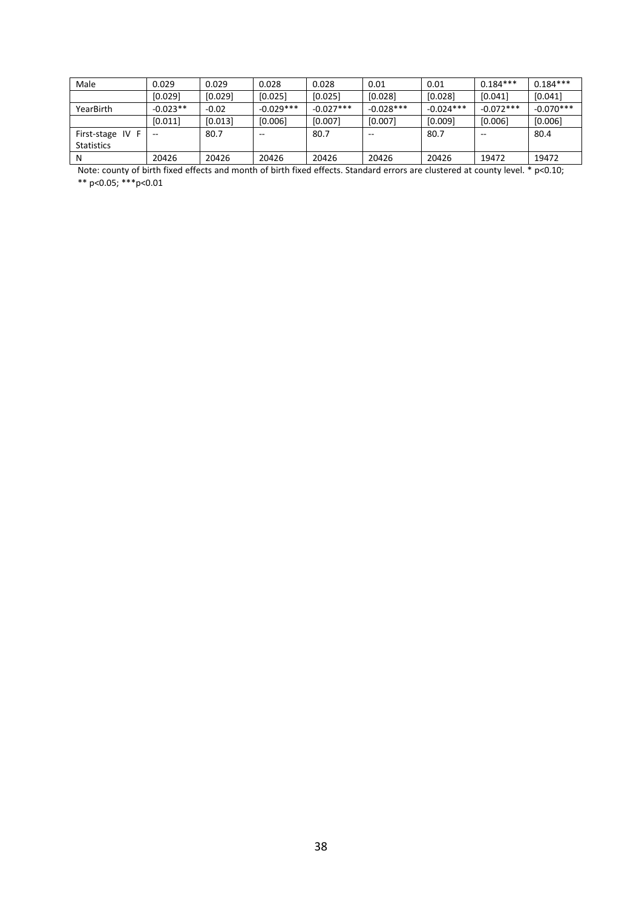| Male                 | 0.029      | 0.029   | 0.028       | 0.028       | 0.01        | 0.01        | $0.184***$  | $0.184***$  |
|----------------------|------------|---------|-------------|-------------|-------------|-------------|-------------|-------------|
|                      | [0.029]    | [0.029] | [0.025]     | [0.025]     | [0.028]     | [0.028]     | [0.041]     | [0.041]     |
| YearBirth            | $-0.023**$ | $-0.02$ | $-0.029***$ | $-0.027***$ | $-0.028***$ | $-0.024***$ | $-0.072***$ | $-0.070***$ |
|                      | [0.011]    | [0.013] | [0.006]     | [0.007]     | [0.007]     | [0.009]     | [0.006]     | [0.006]     |
| First-stage IV<br>F. | $\sim$     | 80.7    | --          | 80.7        | $- -$       | 80.7        | $- -$       | 80.4        |
| <b>Statistics</b>    |            |         |             |             |             |             |             |             |
| N                    | 20426      | 20426   | 20426       | 20426       | 20426       | 20426       | 19472       | 19472       |

Note: county of birth fixed effects and month of birth fixed effects. Standard errors are clustered at county level. \* p<0.10; \*\* p<0.05; \*\*\*p<0.01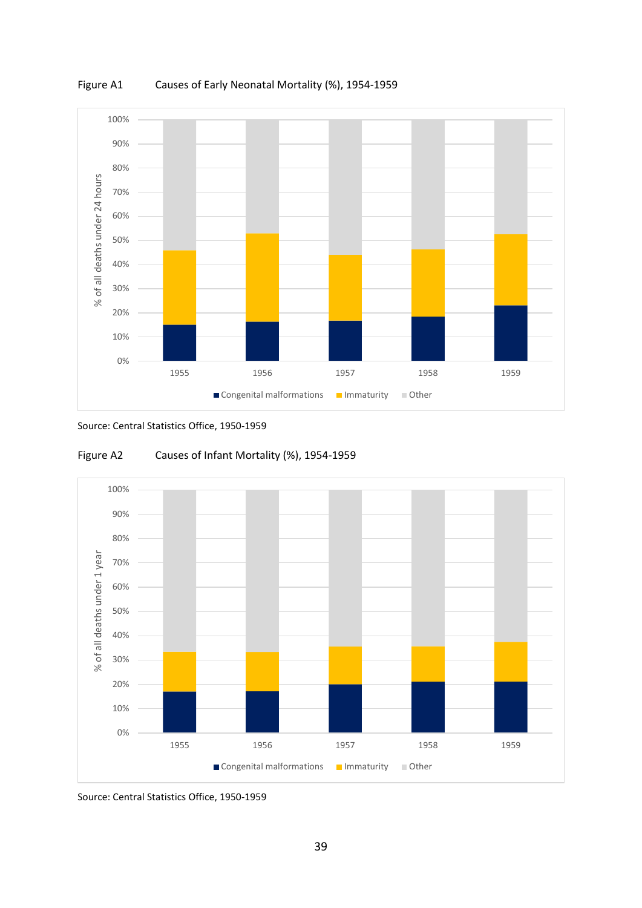

Figure A1 Causes of Early Neonatal Mortality (%), 1954-1959

Source: Central Statistics Office, 1950-1959





Source: Central Statistics Office, 1950-1959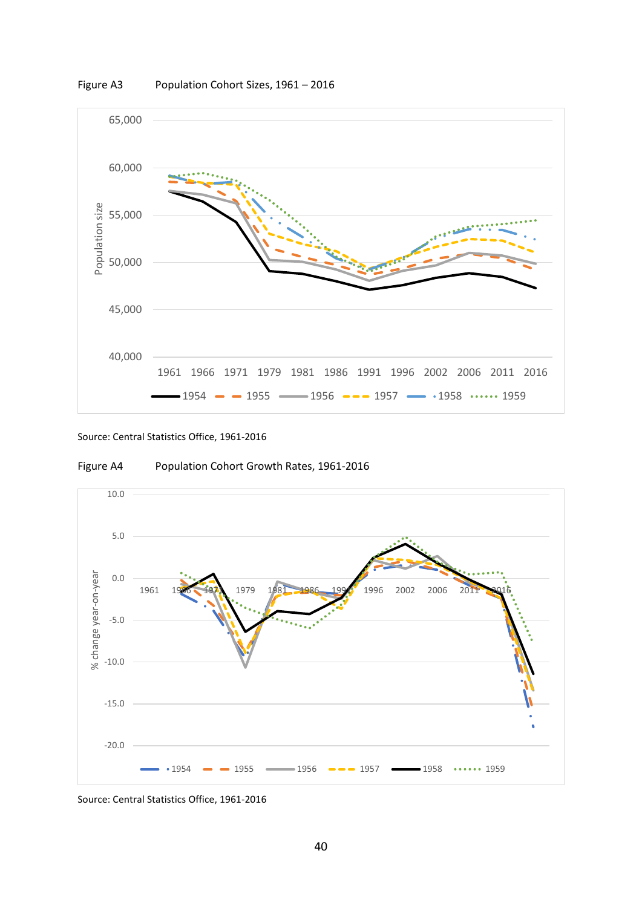

Figure A3 Population Cohort Sizes, 1961 – 2016







Source: Central Statistics Office, 1961-2016